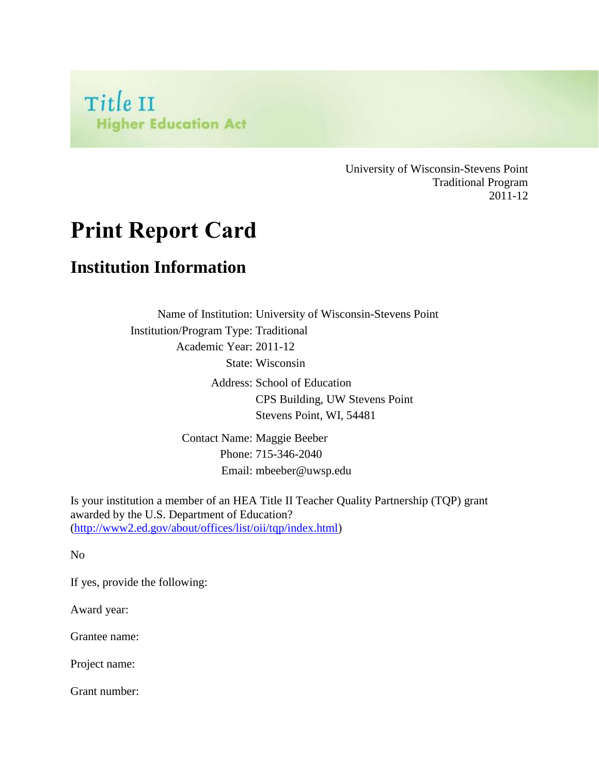

University of Wisconsin-Stevens Point Traditional Program 2011-12

# **Print Report Card**

#### **Institution Information**

Name of Institution: University of Wisconsin-Stevens Point Institution/Program Type: Traditional Academic Year: 2011-12 State: Wisconsin Address: School of Education CPS Building, UW Stevens Point Stevens Point, WI, 54481

> Contact Name: Maggie Beeber Phone: 715-346-2040 Email: mbeeber@uwsp.edu

Is your institution a member of an HEA Title II Teacher Quality Partnership (TQP) grant awarded by the U.S. Department of Education? [\(http://www2.ed.gov/about/offices/list/oii/tqp/index.html\)](http://www2.ed.gov/about/offices/list/oii/tqp/index.html)

No

If yes, provide the following:

Award year:

Grantee name:

Project name:

Grant number: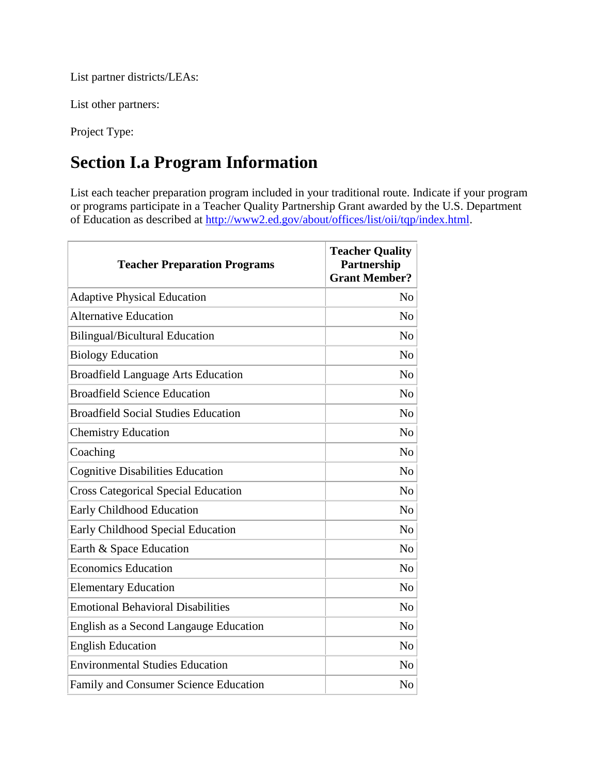List partner districts/LEAs:

List other partners:

Project Type:

# **Section I.a Program Information**

List each teacher preparation program included in your traditional route. Indicate if your program or programs participate in a Teacher Quality Partnership Grant awarded by the U.S. Department of Education as described at [http://www2.ed.gov/about/offices/list/oii/tqp/index.html.](http://www2.ed.gov/about/offices/list/oii/tqp/index.html)

| <b>Teacher Preparation Programs</b>          | <b>Teacher Quality</b><br>Partnership<br><b>Grant Member?</b> |
|----------------------------------------------|---------------------------------------------------------------|
| <b>Adaptive Physical Education</b>           | N <sub>0</sub>                                                |
| <b>Alternative Education</b>                 | N <sub>o</sub>                                                |
| <b>Bilingual/Bicultural Education</b>        | N <sub>0</sub>                                                |
| <b>Biology Education</b>                     | N <sub>0</sub>                                                |
| <b>Broadfield Language Arts Education</b>    | N <sub>0</sub>                                                |
| <b>Broadfield Science Education</b>          | N <sub>0</sub>                                                |
| <b>Broadfield Social Studies Education</b>   | N <sub>0</sub>                                                |
| <b>Chemistry Education</b>                   | N <sub>0</sub>                                                |
| Coaching                                     | N <sub>o</sub>                                                |
| <b>Cognitive Disabilities Education</b>      | N <sub>0</sub>                                                |
| <b>Cross Categorical Special Education</b>   | N <sub>0</sub>                                                |
| Early Childhood Education                    | N <sub>o</sub>                                                |
| Early Childhood Special Education            | N <sub>0</sub>                                                |
| Earth & Space Education                      | N <sub>0</sub>                                                |
| <b>Economics Education</b>                   | N <sub>0</sub>                                                |
| <b>Elementary Education</b>                  | N <sub>o</sub>                                                |
| <b>Emotional Behavioral Disabilities</b>     | N <sub>o</sub>                                                |
| English as a Second Langauge Education       | N <sub>0</sub>                                                |
| <b>English Education</b>                     | N <sub>o</sub>                                                |
| <b>Environmental Studies Education</b>       | N <sub>o</sub>                                                |
| <b>Family and Consumer Science Education</b> | N <sub>o</sub>                                                |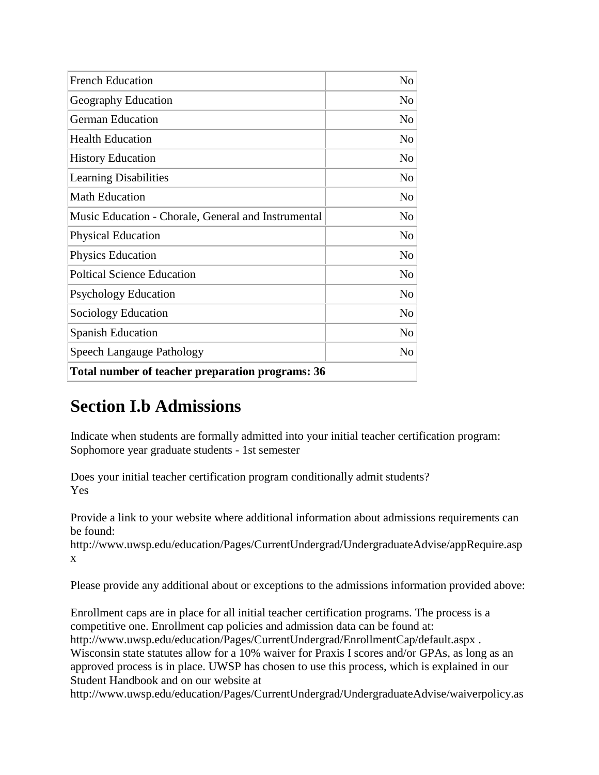| Total number of teacher preparation programs: 36    |                |
|-----------------------------------------------------|----------------|
| Speech Langauge Pathology                           | N <sub>o</sub> |
| <b>Spanish Education</b>                            | N <sub>o</sub> |
| Sociology Education                                 | N <sub>o</sub> |
| <b>Psychology Education</b>                         | No             |
| <b>Poltical Science Education</b>                   | No             |
| <b>Physics Education</b>                            | N <sub>o</sub> |
| <b>Physical Education</b>                           | N <sub>o</sub> |
| Music Education - Chorale, General and Instrumental | N <sub>o</sub> |
| <b>Math Education</b>                               | No             |
| <b>Learning Disabilities</b>                        | No             |
| <b>History Education</b>                            | No             |
| <b>Health Education</b>                             | N <sub>o</sub> |
| <b>German Education</b>                             | N <sub>o</sub> |
| Geography Education                                 | No             |
| <b>French Education</b>                             | N <sub>0</sub> |

### **Section I.b Admissions**

Indicate when students are formally admitted into your initial teacher certification program: Sophomore year graduate students - 1st semester

Does your initial teacher certification program conditionally admit students? Yes

Provide a link to your website where additional information about admissions requirements can be found:

http://www.uwsp.edu/education/Pages/CurrentUndergrad/UndergraduateAdvise/appRequire.asp x

Please provide any additional about or exceptions to the admissions information provided above:

Enrollment caps are in place for all initial teacher certification programs. The process is a competitive one. Enrollment cap policies and admission data can be found at: http://www.uwsp.edu/education/Pages/CurrentUndergrad/EnrollmentCap/default.aspx . Wisconsin state statutes allow for a 10% waiver for Praxis I scores and/or GPAs, as long as an approved process is in place. UWSP has chosen to use this process, which is explained in our Student Handbook and on our website at

http://www.uwsp.edu/education/Pages/CurrentUndergrad/UndergraduateAdvise/waiverpolicy.as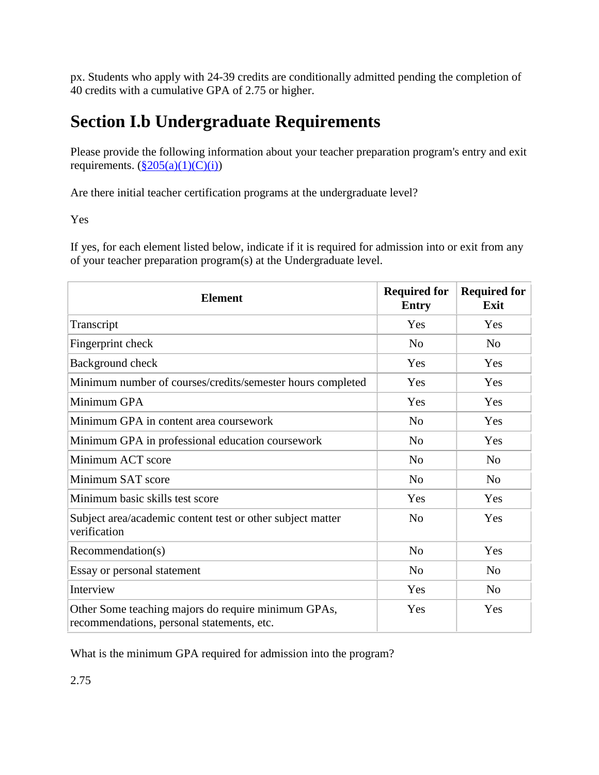px. Students who apply with 24-39 credits are conditionally admitted pending the completion of 40 credits with a cumulative GPA of 2.75 or higher.

# **Section I.b Undergraduate Requirements**

Please provide the following information about your teacher preparation program's entry and exit requirements.  $(\frac{§205(a)(1)(C)(i)}{i})$ 

Are there initial teacher certification programs at the undergraduate level?

Yes

If yes, for each element listed below, indicate if it is required for admission into or exit from any of your teacher preparation program(s) at the Undergraduate level.

| <b>Element</b>                                                                                    | <b>Required for</b><br><b>Entry</b> | <b>Required for</b><br>Exit |
|---------------------------------------------------------------------------------------------------|-------------------------------------|-----------------------------|
| Transcript                                                                                        | Yes                                 | Yes                         |
| Fingerprint check                                                                                 | N <sub>o</sub>                      | N <sub>0</sub>              |
| Background check                                                                                  | Yes                                 | Yes                         |
| Minimum number of courses/credits/semester hours completed                                        | Yes                                 | Yes                         |
| Minimum GPA                                                                                       | Yes                                 | Yes                         |
| Minimum GPA in content area coursework                                                            | N <sub>o</sub>                      | Yes                         |
| Minimum GPA in professional education coursework                                                  | N <sub>o</sub>                      | Yes                         |
| Minimum ACT score                                                                                 | N <sub>o</sub>                      | N <sub>o</sub>              |
| Minimum SAT score                                                                                 | N <sub>o</sub>                      | N <sub>o</sub>              |
| Minimum basic skills test score                                                                   | Yes                                 | Yes                         |
| Subject area/academic content test or other subject matter<br>verification                        | N <sub>o</sub>                      | Yes                         |
| Recommendation(s)                                                                                 | N <sub>o</sub>                      | Yes                         |
| Essay or personal statement                                                                       | N <sub>o</sub>                      | N <sub>o</sub>              |
| Interview                                                                                         | Yes                                 | No                          |
| Other Some teaching majors do require minimum GPAs,<br>recommendations, personal statements, etc. | Yes                                 | Yes                         |

What is the minimum GPA required for admission into the program?

2.75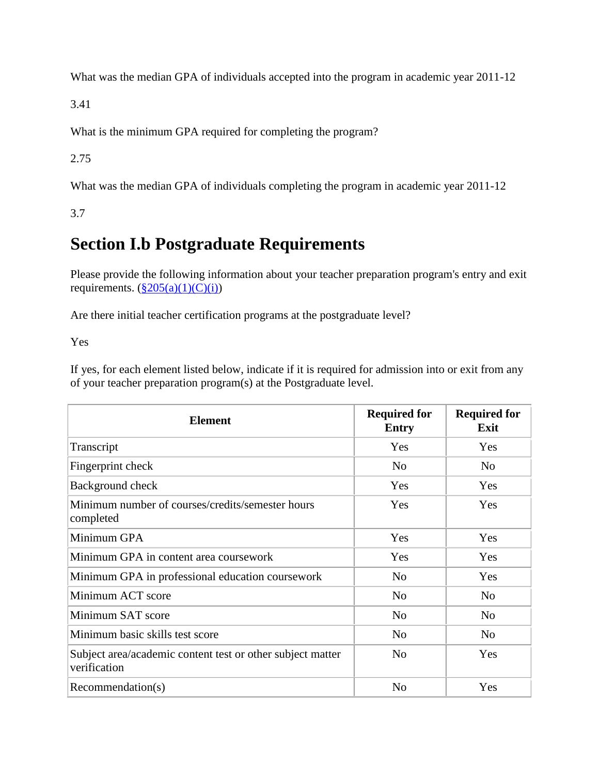What was the median GPA of individuals accepted into the program in academic year 2011-12

3.41

What is the minimum GPA required for completing the program?

2.75

What was the median GPA of individuals completing the program in academic year 2011-12

3.7

## **Section I.b Postgraduate Requirements**

Please provide the following information about your teacher preparation program's entry and exit requirements.  $(\frac{§205(a)(1)(C)(i)}{i})$ 

Are there initial teacher certification programs at the postgraduate level?

Yes

If yes, for each element listed below, indicate if it is required for admission into or exit from any of your teacher preparation program(s) at the Postgraduate level.

| <b>Element</b>                                                             | <b>Required for</b><br><b>Entry</b> | <b>Required for</b><br>Exit |
|----------------------------------------------------------------------------|-------------------------------------|-----------------------------|
| Transcript                                                                 | Yes                                 | Yes                         |
| Fingerprint check                                                          | N <sub>0</sub>                      | N <sub>0</sub>              |
| Background check                                                           | Yes                                 | Yes                         |
| Minimum number of courses/credits/semester hours<br>completed              | Yes                                 | Yes                         |
| Minimum GPA                                                                | Yes                                 | Yes                         |
| Minimum GPA in content area coursework                                     | Yes                                 | Yes                         |
| Minimum GPA in professional education coursework                           | N <sub>o</sub>                      | Yes                         |
| Minimum ACT score                                                          | N <sub>o</sub>                      | N <sub>0</sub>              |
| Minimum SAT score                                                          | N <sub>o</sub>                      | N <sub>o</sub>              |
| Minimum basic skills test score                                            | N <sub>0</sub>                      | N <sub>0</sub>              |
| Subject area/academic content test or other subject matter<br>verification | N <sub>0</sub>                      | Yes                         |
| Recommendation(s)                                                          | N <sub>0</sub>                      | Yes                         |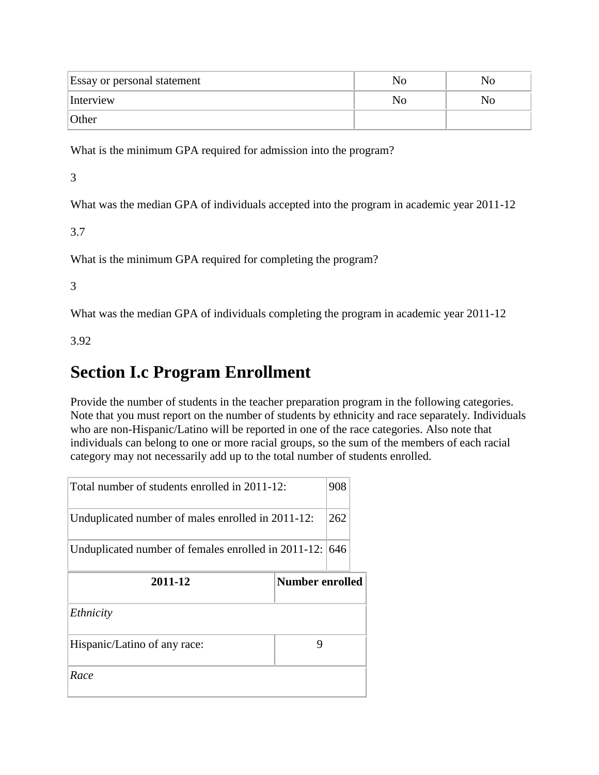| <b>Essay or personal statement</b> | NO |
|------------------------------------|----|
| Interview                          | NO |
| Other                              |    |

What is the minimum GPA required for admission into the program?

3

What was the median GPA of individuals accepted into the program in academic year 2011-12

3.7

What is the minimum GPA required for completing the program?

3

What was the median GPA of individuals completing the program in academic year 2011-12

3.92

#### **Section I.c Program Enrollment**

Provide the number of students in the teacher preparation program in the following categories. Note that you must report on the number of students by ethnicity and race separately. Individuals who are non-Hispanic/Latino will be reported in one of the race categories. Also note that individuals can belong to one or more racial groups, so the sum of the members of each racial category may not necessarily add up to the total number of students enrolled.

| Total number of students enrolled in 2011-12:       | 908                    |
|-----------------------------------------------------|------------------------|
| Unduplicated number of males enrolled in 2011-12:   | 262                    |
| Unduplicated number of females enrolled in 2011-12: | 646                    |
| 2011-12                                             | <b>Number enrolled</b> |
| Ethnicity                                           |                        |
| Hispanic/Latino of any race:                        | 9                      |
|                                                     |                        |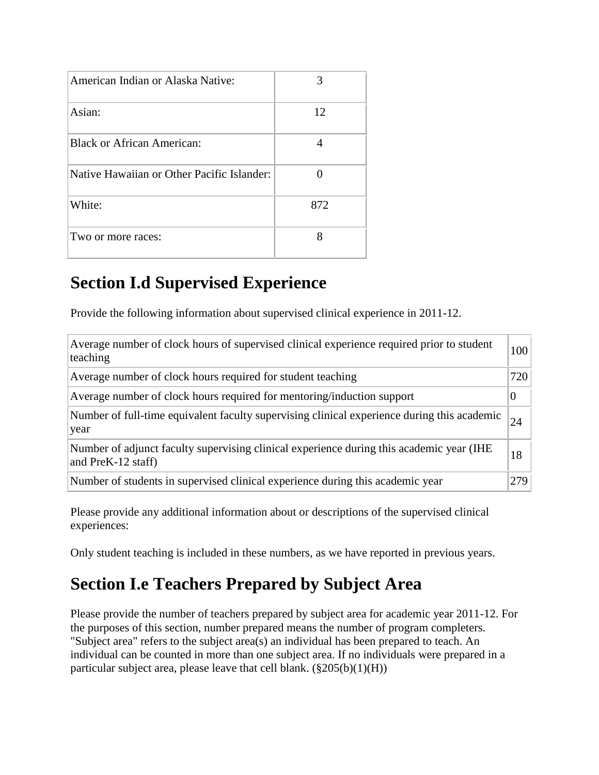| American Indian or Alaska Native:          | 3   |
|--------------------------------------------|-----|
| Asian:                                     | 12  |
| <b>Black or African American:</b>          |     |
| Native Hawaiian or Other Pacific Islander: |     |
| White:                                     | 872 |
| Two or more races:                         | 8   |

# **Section I.d Supervised Experience**

Provide the following information about supervised clinical experience in 2011-12.

| Average number of clock hours of supervised clinical experience required prior to student<br>teaching          | 100 |
|----------------------------------------------------------------------------------------------------------------|-----|
| Average number of clock hours required for student teaching                                                    | 720 |
| Average number of clock hours required for mentoring/induction support                                         |     |
| Number of full-time equivalent faculty supervising clinical experience during this academic<br>year            | 24  |
| Number of adjunct faculty supervising clinical experience during this academic year (IHE<br>and PreK-12 staff) | 18  |
| Number of students in supervised clinical experience during this academic year                                 | 279 |

Please provide any additional information about or descriptions of the supervised clinical experiences:

Only student teaching is included in these numbers, as we have reported in previous years.

# **Section I.e Teachers Prepared by Subject Area**

Please provide the number of teachers prepared by subject area for academic year 2011-12. For the purposes of this section, number prepared means the number of program completers. "Subject area" refers to the subject area(s) an individual has been prepared to teach. An individual can be counted in more than one subject area. If no individuals were prepared in a particular subject area, please leave that cell blank.  $(\frac{205(b)}{1})(H)$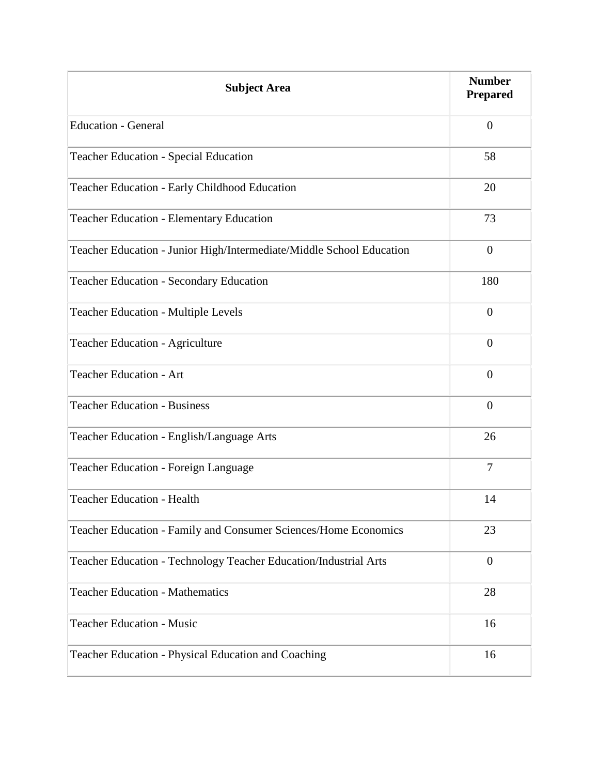| <b>Subject Area</b>                                                  | <b>Number</b><br><b>Prepared</b> |
|----------------------------------------------------------------------|----------------------------------|
| <b>Education - General</b>                                           | $\boldsymbol{0}$                 |
| <b>Teacher Education - Special Education</b>                         | 58                               |
| Teacher Education - Early Childhood Education                        | 20                               |
| <b>Teacher Education - Elementary Education</b>                      | 73                               |
| Teacher Education - Junior High/Intermediate/Middle School Education | $\boldsymbol{0}$                 |
| <b>Teacher Education - Secondary Education</b>                       | 180                              |
| <b>Teacher Education - Multiple Levels</b>                           | $\overline{0}$                   |
| <b>Teacher Education - Agriculture</b>                               | $\overline{0}$                   |
| <b>Teacher Education - Art</b>                                       | $\boldsymbol{0}$                 |
| <b>Teacher Education - Business</b>                                  | $\boldsymbol{0}$                 |
| Teacher Education - English/Language Arts                            | 26                               |
| Teacher Education - Foreign Language                                 | $\tau$                           |
| <b>Teacher Education - Health</b>                                    | 14                               |
| Teacher Education - Family and Consumer Sciences/Home Economics      | 23                               |
| Teacher Education - Technology Teacher Education/Industrial Arts     | $\boldsymbol{0}$                 |
| <b>Teacher Education - Mathematics</b>                               | 28                               |
| <b>Teacher Education - Music</b>                                     | 16                               |
| Teacher Education - Physical Education and Coaching                  | 16                               |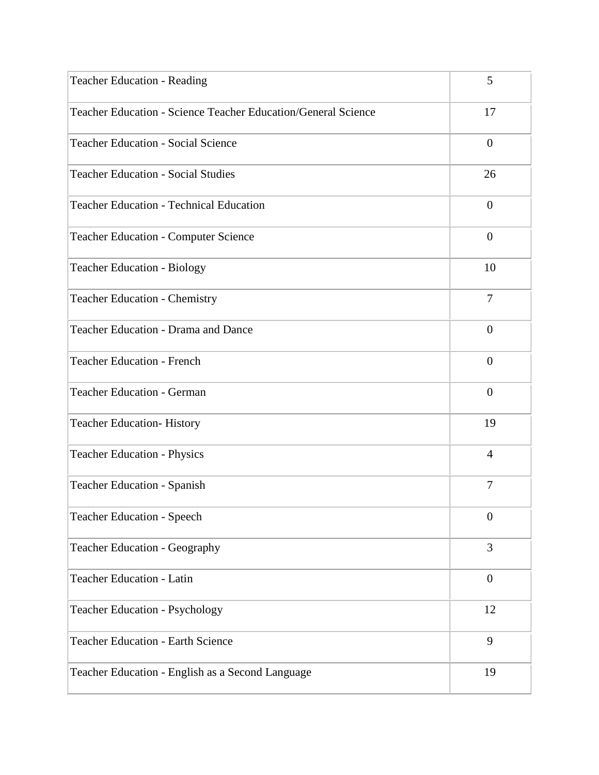| <b>Teacher Education - Reading</b>                            | 5                |
|---------------------------------------------------------------|------------------|
| Teacher Education - Science Teacher Education/General Science | 17               |
| <b>Teacher Education - Social Science</b>                     | $\boldsymbol{0}$ |
| <b>Teacher Education - Social Studies</b>                     | 26               |
| <b>Teacher Education - Technical Education</b>                | $\boldsymbol{0}$ |
| <b>Teacher Education - Computer Science</b>                   | $\boldsymbol{0}$ |
| <b>Teacher Education - Biology</b>                            | 10               |
| <b>Teacher Education - Chemistry</b>                          | $\tau$           |
| Teacher Education - Drama and Dance                           | $\overline{0}$   |
| <b>Teacher Education - French</b>                             | $\boldsymbol{0}$ |
| <b>Teacher Education - German</b>                             | $\boldsymbol{0}$ |
| <b>Teacher Education-History</b>                              | 19               |
| <b>Teacher Education - Physics</b>                            | $\overline{4}$   |
| <b>Teacher Education - Spanish</b>                            | $\overline{7}$   |
| <b>Teacher Education - Speech</b>                             | $\boldsymbol{0}$ |
| <b>Teacher Education - Geography</b>                          | 3                |
| Teacher Education - Latin                                     | $\boldsymbol{0}$ |
| Teacher Education - Psychology                                | 12               |
| <b>Teacher Education - Earth Science</b>                      | 9                |
| Teacher Education - English as a Second Language              | 19               |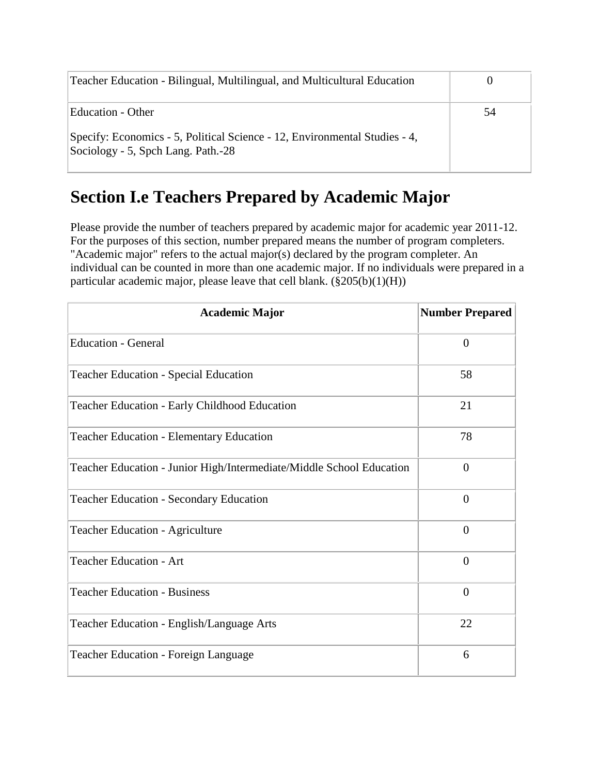| Teacher Education - Bilingual, Multilingual, and Multicultural Education                                         |    |
|------------------------------------------------------------------------------------------------------------------|----|
| Education - Other                                                                                                | 54 |
| Specify: Economics - 5, Political Science - 12, Environmental Studies - 4,<br>Sociology - 5, Spch Lang. Path.-28 |    |

### **Section I.e Teachers Prepared by Academic Major**

Please provide the number of teachers prepared by academic major for academic year 2011-12. For the purposes of this section, number prepared means the number of program completers. "Academic major" refers to the actual major(s) declared by the program completer. An individual can be counted in more than one academic major. If no individuals were prepared in a particular academic major, please leave that cell blank.  $(\S 205(b)(1)(H))$ 

| <b>Academic Major</b>                                                | <b>Number Prepared</b> |
|----------------------------------------------------------------------|------------------------|
| <b>Education - General</b>                                           | $\overline{0}$         |
| <b>Teacher Education - Special Education</b>                         | 58                     |
| Teacher Education - Early Childhood Education                        | 21                     |
| <b>Teacher Education - Elementary Education</b>                      | 78                     |
| Teacher Education - Junior High/Intermediate/Middle School Education | $\theta$               |
| <b>Teacher Education - Secondary Education</b>                       | $\overline{0}$         |
| <b>Teacher Education - Agriculture</b>                               | $\theta$               |
| <b>Teacher Education - Art</b>                                       | $\overline{0}$         |
| <b>Teacher Education - Business</b>                                  | $\overline{0}$         |
| Teacher Education - English/Language Arts                            | 22                     |
| Teacher Education - Foreign Language                                 | 6                      |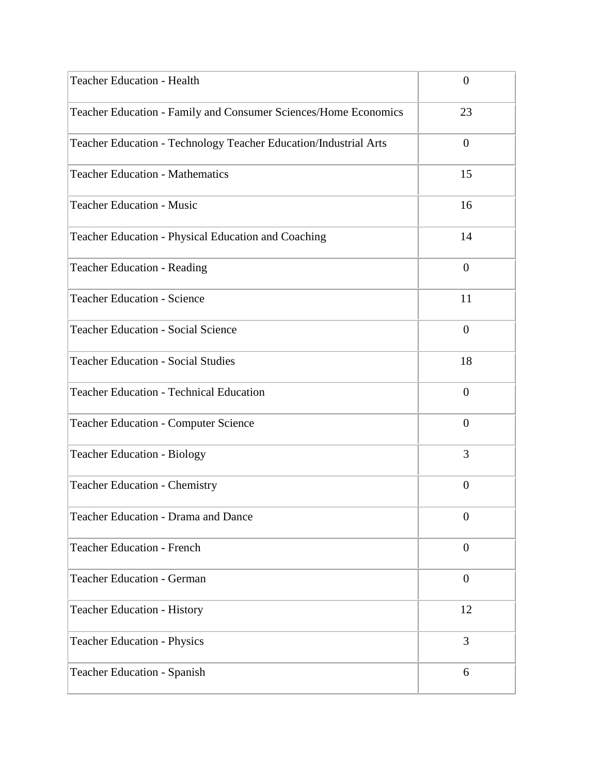| <b>Teacher Education - Health</b>                                | $\overline{0}$   |
|------------------------------------------------------------------|------------------|
| Teacher Education - Family and Consumer Sciences/Home Economics  | 23               |
| Teacher Education - Technology Teacher Education/Industrial Arts | $\overline{0}$   |
| <b>Teacher Education - Mathematics</b>                           | 15               |
| <b>Teacher Education - Music</b>                                 | 16               |
| Teacher Education - Physical Education and Coaching              | 14               |
| <b>Teacher Education - Reading</b>                               | $\overline{0}$   |
| <b>Teacher Education - Science</b>                               | 11               |
| <b>Teacher Education - Social Science</b>                        | $\overline{0}$   |
| <b>Teacher Education - Social Studies</b>                        | 18               |
| <b>Teacher Education - Technical Education</b>                   | $\overline{0}$   |
| <b>Teacher Education - Computer Science</b>                      | $\overline{0}$   |
| <b>Teacher Education - Biology</b>                               | 3                |
| <b>Teacher Education - Chemistry</b>                             | $\boldsymbol{0}$ |
| <b>Teacher Education - Drama and Dance</b>                       | $\boldsymbol{0}$ |
| <b>Teacher Education - French</b>                                | $\overline{0}$   |
| <b>Teacher Education - German</b>                                | $\theta$         |
| <b>Teacher Education - History</b>                               | 12               |
| <b>Teacher Education - Physics</b>                               | 3                |
| <b>Teacher Education - Spanish</b>                               | 6                |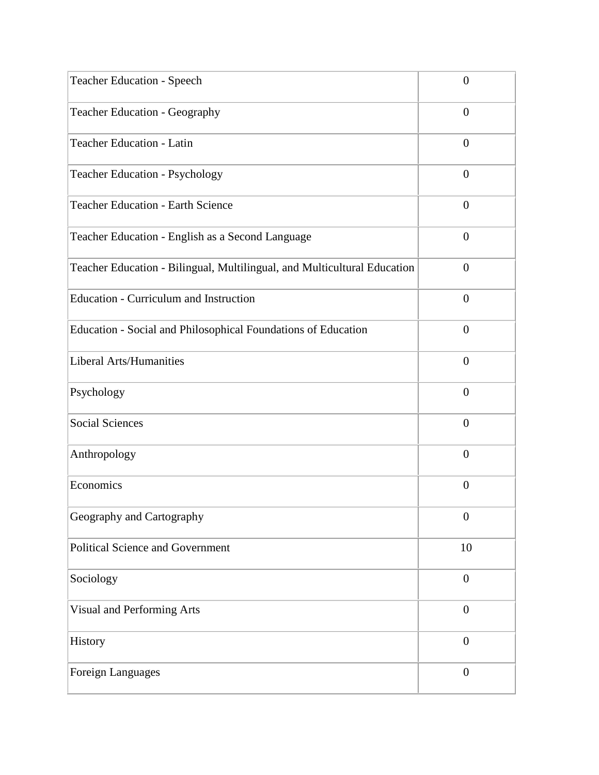| <b>Teacher Education - Speech</b>                                        | $\overline{0}$   |
|--------------------------------------------------------------------------|------------------|
| Teacher Education - Geography                                            | $\overline{0}$   |
| <b>Teacher Education - Latin</b>                                         | $\theta$         |
| Teacher Education - Psychology                                           | $\overline{0}$   |
| <b>Teacher Education - Earth Science</b>                                 | $\overline{0}$   |
| Teacher Education - English as a Second Language                         | $\overline{0}$   |
| Teacher Education - Bilingual, Multilingual, and Multicultural Education | $\theta$         |
| <b>Education - Curriculum and Instruction</b>                            | $\overline{0}$   |
| Education - Social and Philosophical Foundations of Education            | $\overline{0}$   |
| <b>Liberal Arts/Humanities</b>                                           | $\theta$         |
| Psychology                                                               | $\overline{0}$   |
| <b>Social Sciences</b>                                                   | $\overline{0}$   |
| Anthropology                                                             | $\theta$         |
| Economics                                                                | $\overline{0}$   |
| Geography and Cartography                                                | $\boldsymbol{0}$ |
| <b>Political Science and Government</b>                                  | 10               |
| Sociology                                                                | $\boldsymbol{0}$ |
| Visual and Performing Arts                                               | $\overline{0}$   |
| History                                                                  | $\overline{0}$   |
| Foreign Languages                                                        | $\boldsymbol{0}$ |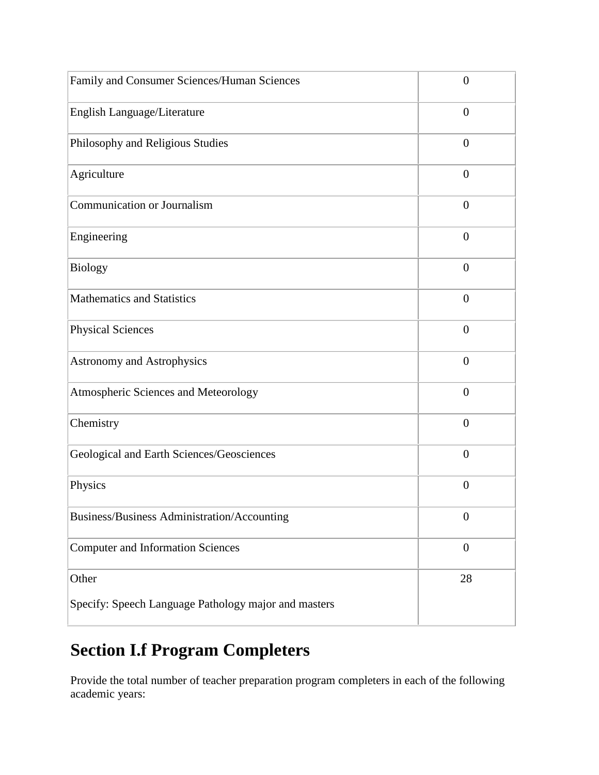| Family and Consumer Sciences/Human Sciences          | $\overline{0}$   |
|------------------------------------------------------|------------------|
| English Language/Literature                          | $\overline{0}$   |
| Philosophy and Religious Studies                     | $\overline{0}$   |
| Agriculture                                          | $\overline{0}$   |
| <b>Communication or Journalism</b>                   | $\overline{0}$   |
| Engineering                                          | $\overline{0}$   |
| <b>Biology</b>                                       | $\overline{0}$   |
| <b>Mathematics and Statistics</b>                    | $\overline{0}$   |
| <b>Physical Sciences</b>                             | $\overline{0}$   |
| <b>Astronomy and Astrophysics</b>                    | $\overline{0}$   |
| Atmospheric Sciences and Meteorology                 | $\overline{0}$   |
| Chemistry                                            | $\overline{0}$   |
| Geological and Earth Sciences/Geosciences            | $\overline{0}$   |
| Physics                                              | $\overline{0}$   |
| Business/Business Administration/Accounting          | $\boldsymbol{0}$ |
| <b>Computer and Information Sciences</b>             | $\boldsymbol{0}$ |
| Other                                                | 28               |
| Specify: Speech Language Pathology major and masters |                  |

# **Section I.f Program Completers**

Provide the total number of teacher preparation program completers in each of the following academic years: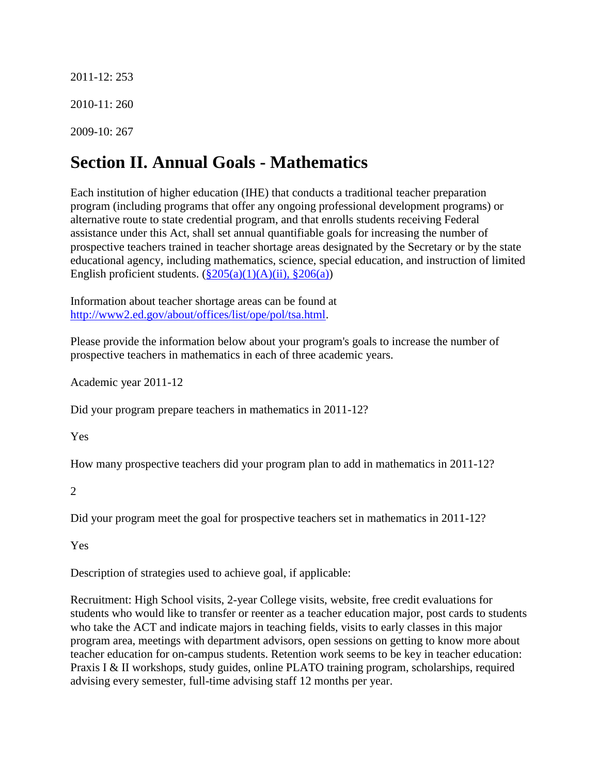2011-12: 253 2010-11: 260 2009-10: 267

# **Section II. Annual Goals - Mathematics**

Each institution of higher education (IHE) that conducts a traditional teacher preparation program (including programs that offer any ongoing professional development programs) or alternative route to state credential program, and that enrolls students receiving Federal assistance under this Act, shall set annual quantifiable goals for increasing the number of prospective teachers trained in teacher shortage areas designated by the Secretary or by the state educational agency, including mathematics, science, special education, and instruction of limited English proficient students.  $(\frac{8205(a)(1)(A)(ii)}{8206(a)})$ 

Information about teacher shortage areas can be found at [http://www2.ed.gov/about/offices/list/ope/pol/tsa.html.](http://www2.ed.gov/about/offices/list/ope/pol/tsa.html)

Please provide the information below about your program's goals to increase the number of prospective teachers in mathematics in each of three academic years.

Academic year 2011-12

Did your program prepare teachers in mathematics in 2011-12?

Yes

How many prospective teachers did your program plan to add in mathematics in 2011-12?

2

Did your program meet the goal for prospective teachers set in mathematics in 2011-12?

Yes

Description of strategies used to achieve goal, if applicable:

Recruitment: High School visits, 2-year College visits, website, free credit evaluations for students who would like to transfer or reenter as a teacher education major, post cards to students who take the ACT and indicate majors in teaching fields, visits to early classes in this major program area, meetings with department advisors, open sessions on getting to know more about teacher education for on-campus students. Retention work seems to be key in teacher education: Praxis I & II workshops, study guides, online PLATO training program, scholarships, required advising every semester, full-time advising staff 12 months per year.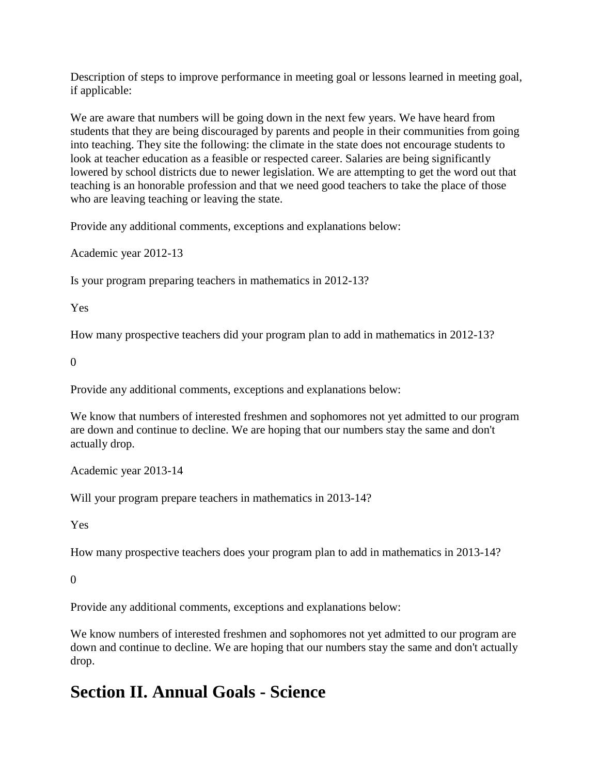Description of steps to improve performance in meeting goal or lessons learned in meeting goal, if applicable:

We are aware that numbers will be going down in the next few years. We have heard from students that they are being discouraged by parents and people in their communities from going into teaching. They site the following: the climate in the state does not encourage students to look at teacher education as a feasible or respected career. Salaries are being significantly lowered by school districts due to newer legislation. We are attempting to get the word out that teaching is an honorable profession and that we need good teachers to take the place of those who are leaving teaching or leaving the state.

Provide any additional comments, exceptions and explanations below:

Academic year 2012-13

Is your program preparing teachers in mathematics in 2012-13?

Yes

How many prospective teachers did your program plan to add in mathematics in 2012-13?

0

Provide any additional comments, exceptions and explanations below:

We know that numbers of interested freshmen and sophomores not yet admitted to our program are down and continue to decline. We are hoping that our numbers stay the same and don't actually drop.

Academic year 2013-14

Will your program prepare teachers in mathematics in 2013-14?

Yes

How many prospective teachers does your program plan to add in mathematics in 2013-14?

 $\Omega$ 

Provide any additional comments, exceptions and explanations below:

We know numbers of interested freshmen and sophomores not yet admitted to our program are down and continue to decline. We are hoping that our numbers stay the same and don't actually drop.

### **Section II. Annual Goals - Science**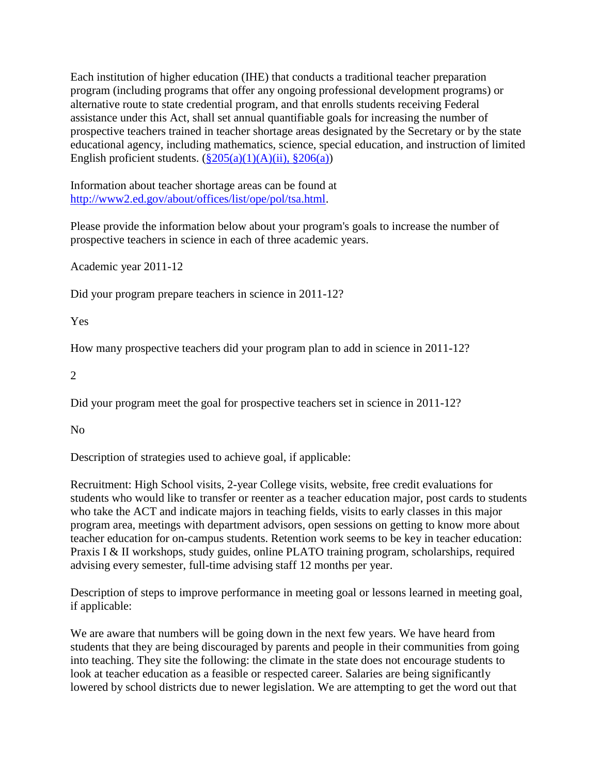Each institution of higher education (IHE) that conducts a traditional teacher preparation program (including programs that offer any ongoing professional development programs) or alternative route to state credential program, and that enrolls students receiving Federal assistance under this Act, shall set annual quantifiable goals for increasing the number of prospective teachers trained in teacher shortage areas designated by the Secretary or by the state educational agency, including mathematics, science, special education, and instruction of limited English proficient students.  $(\frac{205(a)(1)(A)(ii)}{206(a)})$ 

Information about teacher shortage areas can be found at [http://www2.ed.gov/about/offices/list/ope/pol/tsa.html.](http://www2.ed.gov/about/offices/list/ope/pol/tsa.html)

Please provide the information below about your program's goals to increase the number of prospective teachers in science in each of three academic years.

Academic year 2011-12

Did your program prepare teachers in science in 2011-12?

Yes

How many prospective teachers did your program plan to add in science in 2011-12?

2

Did your program meet the goal for prospective teachers set in science in 2011-12?

No

Description of strategies used to achieve goal, if applicable:

Recruitment: High School visits, 2-year College visits, website, free credit evaluations for students who would like to transfer or reenter as a teacher education major, post cards to students who take the ACT and indicate majors in teaching fields, visits to early classes in this major program area, meetings with department advisors, open sessions on getting to know more about teacher education for on-campus students. Retention work seems to be key in teacher education: Praxis I & II workshops, study guides, online PLATO training program, scholarships, required advising every semester, full-time advising staff 12 months per year.

Description of steps to improve performance in meeting goal or lessons learned in meeting goal, if applicable:

We are aware that numbers will be going down in the next few years. We have heard from students that they are being discouraged by parents and people in their communities from going into teaching. They site the following: the climate in the state does not encourage students to look at teacher education as a feasible or respected career. Salaries are being significantly lowered by school districts due to newer legislation. We are attempting to get the word out that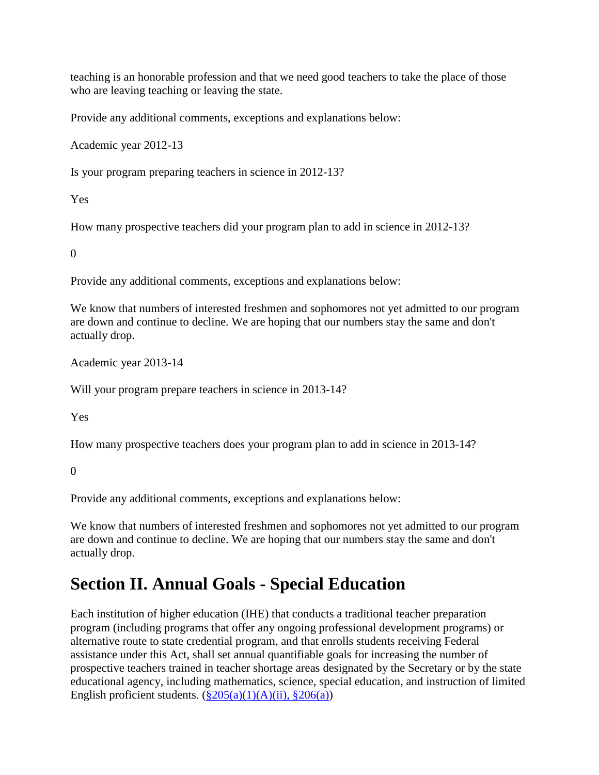teaching is an honorable profession and that we need good teachers to take the place of those who are leaving teaching or leaving the state.

Provide any additional comments, exceptions and explanations below:

Academic year 2012-13

Is your program preparing teachers in science in 2012-13?

Yes

How many prospective teachers did your program plan to add in science in 2012-13?

 $\Omega$ 

Provide any additional comments, exceptions and explanations below:

We know that numbers of interested freshmen and sophomores not yet admitted to our program are down and continue to decline. We are hoping that our numbers stay the same and don't actually drop.

Academic year 2013-14

Will your program prepare teachers in science in 2013-14?

Yes

How many prospective teachers does your program plan to add in science in 2013-14?

0

Provide any additional comments, exceptions and explanations below:

We know that numbers of interested freshmen and sophomores not yet admitted to our program are down and continue to decline. We are hoping that our numbers stay the same and don't actually drop.

### **Section II. Annual Goals - Special Education**

Each institution of higher education (IHE) that conducts a traditional teacher preparation program (including programs that offer any ongoing professional development programs) or alternative route to state credential program, and that enrolls students receiving Federal assistance under this Act, shall set annual quantifiable goals for increasing the number of prospective teachers trained in teacher shortage areas designated by the Secretary or by the state educational agency, including mathematics, science, special education, and instruction of limited English proficient students.  $(\frac{8205(a)(1)(A)(ii)}{8206(a)})$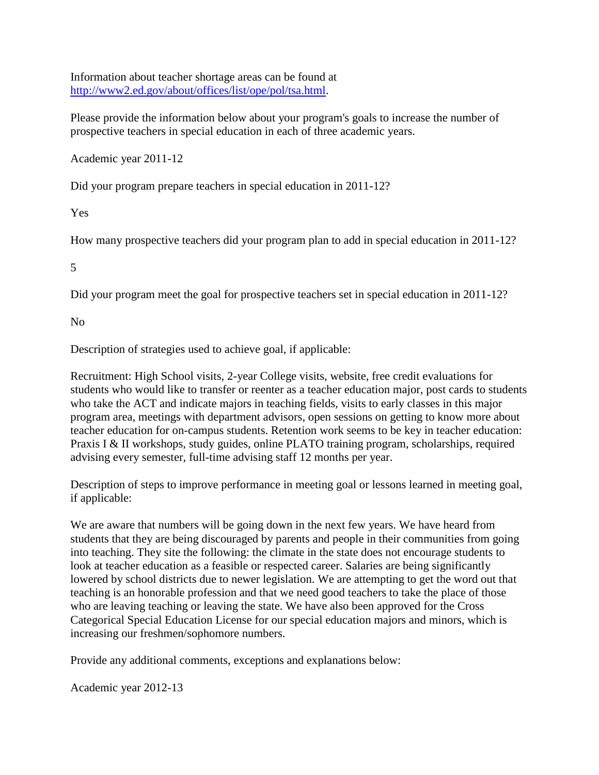Information about teacher shortage areas can be found at [http://www2.ed.gov/about/offices/list/ope/pol/tsa.html.](http://www2.ed.gov/about/offices/list/ope/pol/tsa.html)

Please provide the information below about your program's goals to increase the number of prospective teachers in special education in each of three academic years.

Academic year 2011-12

Did your program prepare teachers in special education in 2011-12?

Yes

How many prospective teachers did your program plan to add in special education in 2011-12?

5

Did your program meet the goal for prospective teachers set in special education in 2011-12?

No

Description of strategies used to achieve goal, if applicable:

Recruitment: High School visits, 2-year College visits, website, free credit evaluations for students who would like to transfer or reenter as a teacher education major, post cards to students who take the ACT and indicate majors in teaching fields, visits to early classes in this major program area, meetings with department advisors, open sessions on getting to know more about teacher education for on-campus students. Retention work seems to be key in teacher education: Praxis I & II workshops, study guides, online PLATO training program, scholarships, required advising every semester, full-time advising staff 12 months per year.

Description of steps to improve performance in meeting goal or lessons learned in meeting goal, if applicable:

We are aware that numbers will be going down in the next few years. We have heard from students that they are being discouraged by parents and people in their communities from going into teaching. They site the following: the climate in the state does not encourage students to look at teacher education as a feasible or respected career. Salaries are being significantly lowered by school districts due to newer legislation. We are attempting to get the word out that teaching is an honorable profession and that we need good teachers to take the place of those who are leaving teaching or leaving the state. We have also been approved for the Cross Categorical Special Education License for our special education majors and minors, which is increasing our freshmen/sophomore numbers.

Provide any additional comments, exceptions and explanations below:

Academic year 2012-13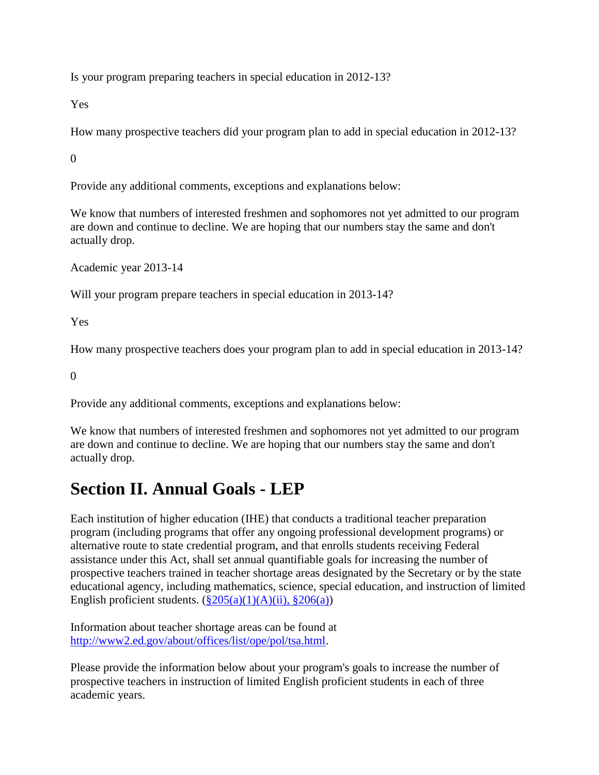Is your program preparing teachers in special education in 2012-13?

Yes

How many prospective teachers did your program plan to add in special education in 2012-13?

0

Provide any additional comments, exceptions and explanations below:

We know that numbers of interested freshmen and sophomores not yet admitted to our program are down and continue to decline. We are hoping that our numbers stay the same and don't actually drop.

Academic year 2013-14

Will your program prepare teachers in special education in 2013-14?

Yes

How many prospective teachers does your program plan to add in special education in 2013-14?

0

Provide any additional comments, exceptions and explanations below:

We know that numbers of interested freshmen and sophomores not yet admitted to our program are down and continue to decline. We are hoping that our numbers stay the same and don't actually drop.

#### **Section II. Annual Goals - LEP**

Each institution of higher education (IHE) that conducts a traditional teacher preparation program (including programs that offer any ongoing professional development programs) or alternative route to state credential program, and that enrolls students receiving Federal assistance under this Act, shall set annual quantifiable goals for increasing the number of prospective teachers trained in teacher shortage areas designated by the Secretary or by the state educational agency, including mathematics, science, special education, and instruction of limited English proficient students.  $(\frac{8}{205(a)(1)(A)(ii)}, \frac{8}{206(a)})$ 

Information about teacher shortage areas can be found at [http://www2.ed.gov/about/offices/list/ope/pol/tsa.html.](http://www2.ed.gov/about/offices/list/ope/pol/tsa.html)

Please provide the information below about your program's goals to increase the number of prospective teachers in instruction of limited English proficient students in each of three academic years.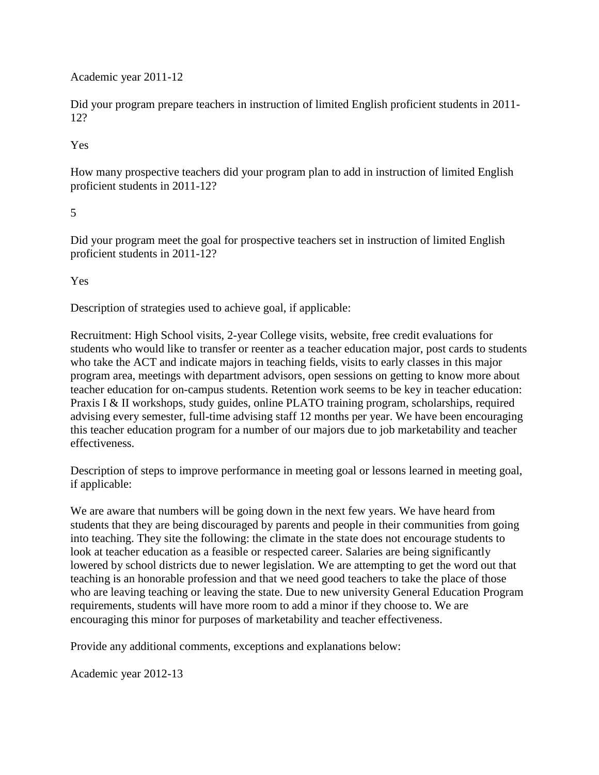Academic year 2011-12

Did your program prepare teachers in instruction of limited English proficient students in 2011- 12?

Yes

How many prospective teachers did your program plan to add in instruction of limited English proficient students in 2011-12?

#### 5

Did your program meet the goal for prospective teachers set in instruction of limited English proficient students in 2011-12?

Yes

Description of strategies used to achieve goal, if applicable:

Recruitment: High School visits, 2-year College visits, website, free credit evaluations for students who would like to transfer or reenter as a teacher education major, post cards to students who take the ACT and indicate majors in teaching fields, visits to early classes in this major program area, meetings with department advisors, open sessions on getting to know more about teacher education for on-campus students. Retention work seems to be key in teacher education: Praxis I & II workshops, study guides, online PLATO training program, scholarships, required advising every semester, full-time advising staff 12 months per year. We have been encouraging this teacher education program for a number of our majors due to job marketability and teacher effectiveness.

Description of steps to improve performance in meeting goal or lessons learned in meeting goal, if applicable:

We are aware that numbers will be going down in the next few years. We have heard from students that they are being discouraged by parents and people in their communities from going into teaching. They site the following: the climate in the state does not encourage students to look at teacher education as a feasible or respected career. Salaries are being significantly lowered by school districts due to newer legislation. We are attempting to get the word out that teaching is an honorable profession and that we need good teachers to take the place of those who are leaving teaching or leaving the state. Due to new university General Education Program requirements, students will have more room to add a minor if they choose to. We are encouraging this minor for purposes of marketability and teacher effectiveness.

Provide any additional comments, exceptions and explanations below:

Academic year 2012-13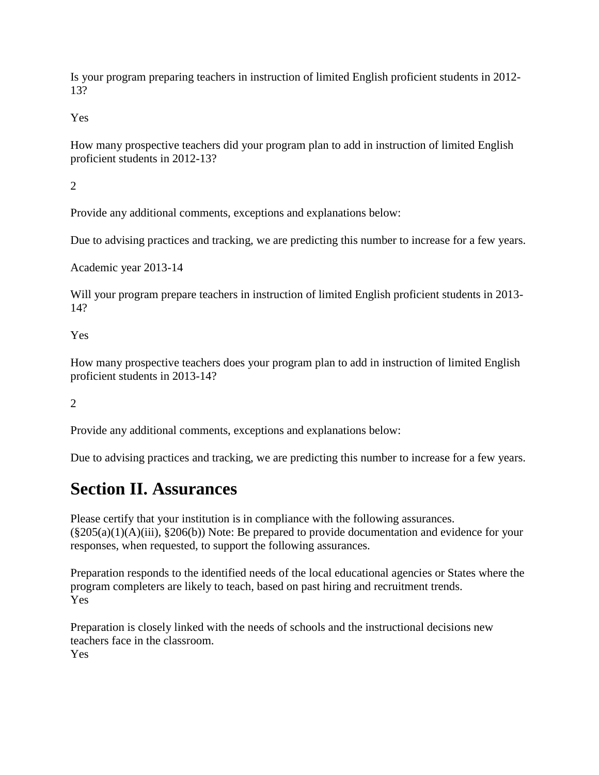Is your program preparing teachers in instruction of limited English proficient students in 2012- 13?

Yes

How many prospective teachers did your program plan to add in instruction of limited English proficient students in 2012-13?

 $\mathcal{L}$ 

Provide any additional comments, exceptions and explanations below:

Due to advising practices and tracking, we are predicting this number to increase for a few years.

Academic year 2013-14

Will your program prepare teachers in instruction of limited English proficient students in 2013- 14?

Yes

How many prospective teachers does your program plan to add in instruction of limited English proficient students in 2013-14?

2

Provide any additional comments, exceptions and explanations below:

Due to advising practices and tracking, we are predicting this number to increase for a few years.

#### **Section II. Assurances**

Please certify that your institution is in compliance with the following assurances.  $(\$205(a)(1)(A)(iii), §206(b))$  Note: Be prepared to provide documentation and evidence for your responses, when requested, to support the following assurances.

Preparation responds to the identified needs of the local educational agencies or States where the program completers are likely to teach, based on past hiring and recruitment trends. Yes

Preparation is closely linked with the needs of schools and the instructional decisions new teachers face in the classroom. Yes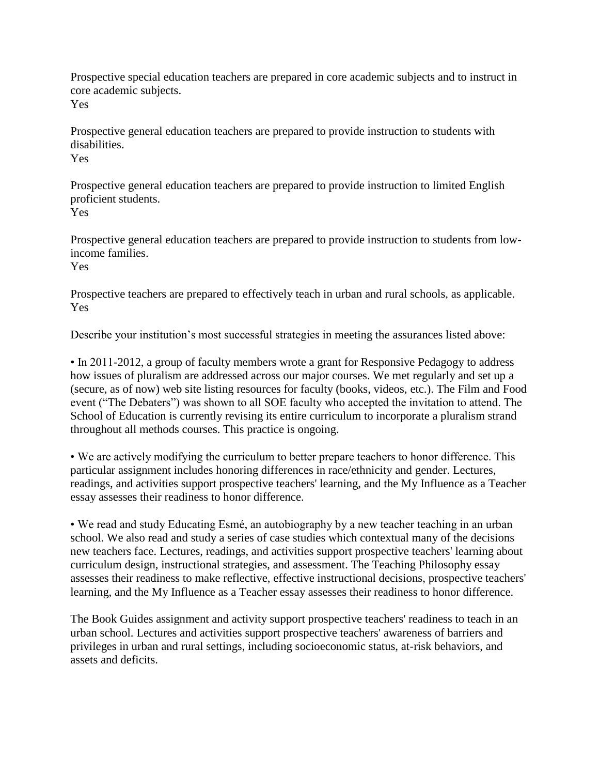Prospective special education teachers are prepared in core academic subjects and to instruct in core academic subjects.

Yes

Prospective general education teachers are prepared to provide instruction to students with disabilities.

Yes

Prospective general education teachers are prepared to provide instruction to limited English proficient students. Yes

Prospective general education teachers are prepared to provide instruction to students from lowincome families.

Yes

Prospective teachers are prepared to effectively teach in urban and rural schools, as applicable. Yes

Describe your institution's most successful strategies in meeting the assurances listed above:

• In 2011-2012, a group of faculty members wrote a grant for Responsive Pedagogy to address how issues of pluralism are addressed across our major courses. We met regularly and set up a (secure, as of now) web site listing resources for faculty (books, videos, etc.). The Film and Food event ("The Debaters") was shown to all SOE faculty who accepted the invitation to attend. The School of Education is currently revising its entire curriculum to incorporate a pluralism strand throughout all methods courses. This practice is ongoing.

• We are actively modifying the curriculum to better prepare teachers to honor difference. This particular assignment includes honoring differences in race/ethnicity and gender. Lectures, readings, and activities support prospective teachers' learning, and the My Influence as a Teacher essay assesses their readiness to honor difference.

• We read and study Educating Esmé, an autobiography by a new teacher teaching in an urban school. We also read and study a series of case studies which contextual many of the decisions new teachers face. Lectures, readings, and activities support prospective teachers' learning about curriculum design, instructional strategies, and assessment. The Teaching Philosophy essay assesses their readiness to make reflective, effective instructional decisions, prospective teachers' learning, and the My Influence as a Teacher essay assesses their readiness to honor difference.

The Book Guides assignment and activity support prospective teachers' readiness to teach in an urban school. Lectures and activities support prospective teachers' awareness of barriers and privileges in urban and rural settings, including socioeconomic status, at-risk behaviors, and assets and deficits.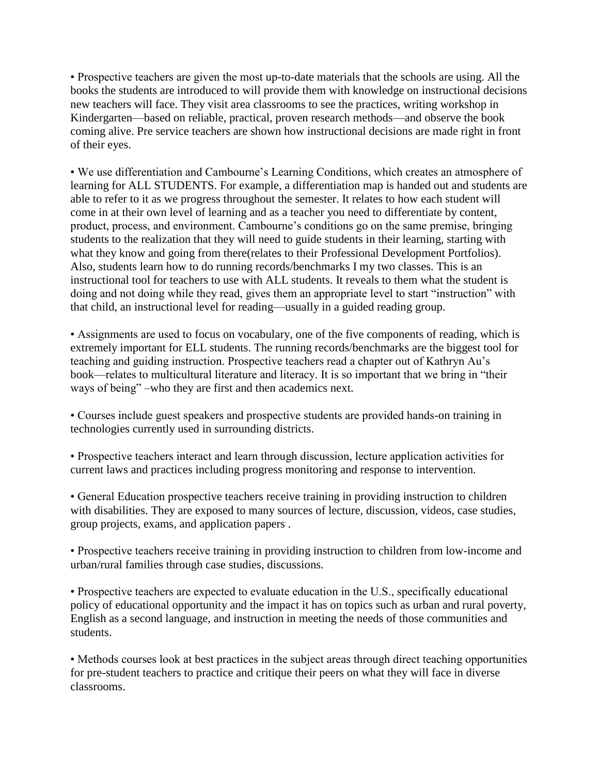• Prospective teachers are given the most up-to-date materials that the schools are using. All the books the students are introduced to will provide them with knowledge on instructional decisions new teachers will face. They visit area classrooms to see the practices, writing workshop in Kindergarten—based on reliable, practical, proven research methods—and observe the book coming alive. Pre service teachers are shown how instructional decisions are made right in front of their eyes.

• We use differentiation and Cambourne's Learning Conditions, which creates an atmosphere of learning for ALL STUDENTS. For example, a differentiation map is handed out and students are able to refer to it as we progress throughout the semester. It relates to how each student will come in at their own level of learning and as a teacher you need to differentiate by content, product, process, and environment. Cambourne's conditions go on the same premise, bringing students to the realization that they will need to guide students in their learning, starting with what they know and going from there(relates to their Professional Development Portfolios). Also, students learn how to do running records/benchmarks I my two classes. This is an instructional tool for teachers to use with ALL students. It reveals to them what the student is doing and not doing while they read, gives them an appropriate level to start "instruction" with that child, an instructional level for reading—usually in a guided reading group.

• Assignments are used to focus on vocabulary, one of the five components of reading, which is extremely important for ELL students. The running records/benchmarks are the biggest tool for teaching and guiding instruction. Prospective teachers read a chapter out of Kathryn Au's book—relates to multicultural literature and literacy. It is so important that we bring in "their ways of being" –who they are first and then academics next.

• Courses include guest speakers and prospective students are provided hands-on training in technologies currently used in surrounding districts.

• Prospective teachers interact and learn through discussion, lecture application activities for current laws and practices including progress monitoring and response to intervention.

• General Education prospective teachers receive training in providing instruction to children with disabilities. They are exposed to many sources of lecture, discussion, videos, case studies, group projects, exams, and application papers .

• Prospective teachers receive training in providing instruction to children from low-income and urban/rural families through case studies, discussions.

• Prospective teachers are expected to evaluate education in the U.S., specifically educational policy of educational opportunity and the impact it has on topics such as urban and rural poverty, English as a second language, and instruction in meeting the needs of those communities and students.

• Methods courses look at best practices in the subject areas through direct teaching opportunities for pre-student teachers to practice and critique their peers on what they will face in diverse classrooms.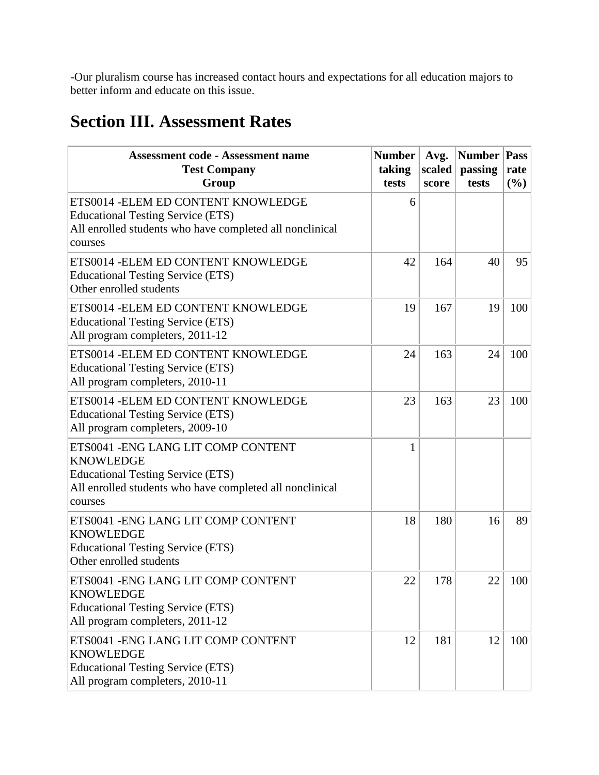-Our pluralism course has increased contact hours and expectations for all education majors to better inform and educate on this issue.

# **Section III. Assessment Rates**

| <b>Assessment code - Assessment name</b><br><b>Test Company</b><br>Group                                                                                                   | <b>Number</b><br>taking<br>tests | Avg.<br>scaled<br>score | <b>Number</b><br>passing<br>tests | Pass<br>rate<br>$(\%)$ |
|----------------------------------------------------------------------------------------------------------------------------------------------------------------------------|----------------------------------|-------------------------|-----------------------------------|------------------------|
| ETS0014 - ELEM ED CONTENT KNOWLEDGE<br><b>Educational Testing Service (ETS)</b><br>All enrolled students who have completed all nonclinical<br>courses                     | 6                                |                         |                                   |                        |
| ETS0014 - ELEM ED CONTENT KNOWLEDGE<br><b>Educational Testing Service (ETS)</b><br>Other enrolled students                                                                 | 42                               | 164                     | 40                                | 95                     |
| ETS0014 - ELEM ED CONTENT KNOWLEDGE<br><b>Educational Testing Service (ETS)</b><br>All program completers, 2011-12                                                         | 19                               | 167                     | 19                                | 100                    |
| ETS0014 - ELEM ED CONTENT KNOWLEDGE<br><b>Educational Testing Service (ETS)</b><br>All program completers, 2010-11                                                         | 24                               | 163                     | 24                                | 100                    |
| ETS0014 - ELEM ED CONTENT KNOWLEDGE<br><b>Educational Testing Service (ETS)</b><br>All program completers, 2009-10                                                         | 23                               | 163                     | 23                                | 100                    |
| ETS0041 - ENG LANG LIT COMP CONTENT<br><b>KNOWLEDGE</b><br><b>Educational Testing Service (ETS)</b><br>All enrolled students who have completed all nonclinical<br>courses | 1                                |                         |                                   |                        |
| ETS0041 - ENG LANG LIT COMP CONTENT<br><b>KNOWLEDGE</b><br><b>Educational Testing Service (ETS)</b><br>Other enrolled students                                             | 18                               | 180                     | 16                                | 89                     |
| ETS0041 - ENG LANG LIT COMP CONTENT<br><b>KNOWLEDGE</b><br><b>Educational Testing Service (ETS)</b><br>All program completers, 2011-12                                     | 22                               | 178                     | 22                                | 100                    |
| ETS0041 - ENG LANG LIT COMP CONTENT<br><b>KNOWLEDGE</b><br><b>Educational Testing Service (ETS)</b><br>All program completers, 2010-11                                     | 12                               | 181                     | 12                                | 100                    |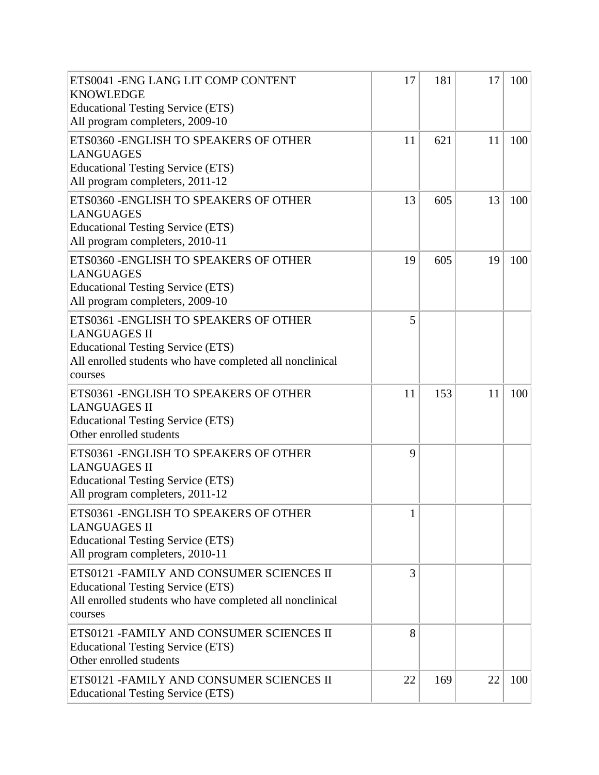| ETS0041 - ENG LANG LIT COMP CONTENT<br><b>KNOWLEDGE</b><br><b>Educational Testing Service (ETS)</b><br>All program completers, 2009-10                                           | 17                  | 181 | 17 | 100 |
|----------------------------------------------------------------------------------------------------------------------------------------------------------------------------------|---------------------|-----|----|-----|
| ETS0360 - ENGLISH TO SPEAKERS OF OTHER<br><b>LANGUAGES</b><br><b>Educational Testing Service (ETS)</b><br>All program completers, 2011-12                                        | 11                  | 621 | 11 | 100 |
| ETS0360 - ENGLISH TO SPEAKERS OF OTHER<br><b>LANGUAGES</b><br><b>Educational Testing Service (ETS)</b><br>All program completers, 2010-11                                        | 13                  | 605 | 13 | 100 |
| ETS0360 - ENGLISH TO SPEAKERS OF OTHER<br><b>LANGUAGES</b><br><b>Educational Testing Service (ETS)</b><br>All program completers, 2009-10                                        | 19                  | 605 | 19 | 100 |
| ETS0361 - ENGLISH TO SPEAKERS OF OTHER<br><b>LANGUAGES II</b><br><b>Educational Testing Service (ETS)</b><br>All enrolled students who have completed all nonclinical<br>courses | 5                   |     |    |     |
| ETS0361 - ENGLISH TO SPEAKERS OF OTHER<br><b>LANGUAGES II</b><br><b>Educational Testing Service (ETS)</b><br>Other enrolled students                                             | 11                  | 153 | 11 | 100 |
| ETS0361 - ENGLISH TO SPEAKERS OF OTHER<br><b>LANGUAGES II</b><br><b>Educational Testing Service (ETS)</b><br>All program completers, 2011-12                                     | 9                   |     |    |     |
| ETS0361 - ENGLISH TO SPEAKERS OF OTHER<br><b>LANGUAGES II</b><br><b>Educational Testing Service (ETS)</b><br>All program completers, 2010-11                                     | $\blacksquare$<br>1 |     |    |     |
| ETS0121 - FAMILY AND CONSUMER SCIENCES II<br><b>Educational Testing Service (ETS)</b><br>All enrolled students who have completed all nonclinical<br>courses                     | 3                   |     |    |     |
| ETS0121 - FAMILY AND CONSUMER SCIENCES II<br><b>Educational Testing Service (ETS)</b><br>Other enrolled students                                                                 | 8                   |     |    |     |
| ETS0121 - FAMILY AND CONSUMER SCIENCES II<br><b>Educational Testing Service (ETS)</b>                                                                                            | 22                  | 169 | 22 | 100 |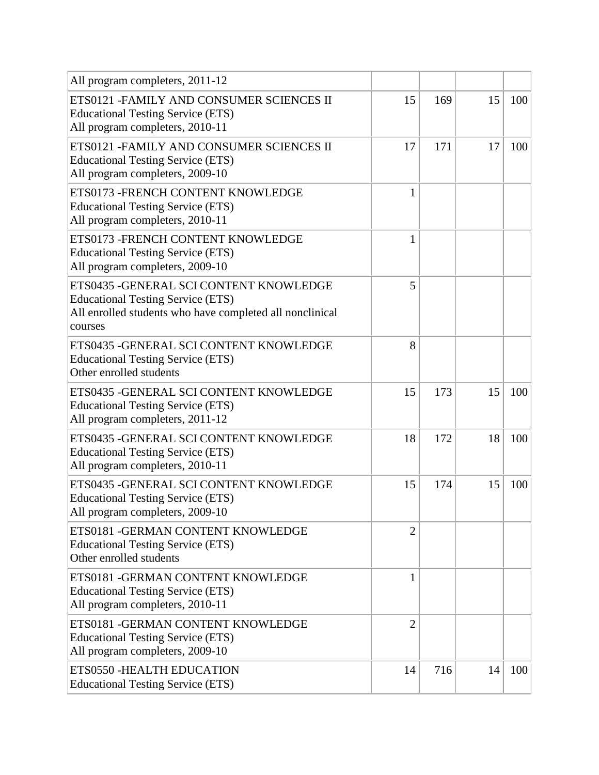| All program completers, 2011-12                                                                                                                            |                |     |    |     |
|------------------------------------------------------------------------------------------------------------------------------------------------------------|----------------|-----|----|-----|
| ETS0121 - FAMILY AND CONSUMER SCIENCES II<br><b>Educational Testing Service (ETS)</b><br>All program completers, 2010-11                                   | 15             | 169 | 15 | 100 |
| ETS0121 - FAMILY AND CONSUMER SCIENCES II<br><b>Educational Testing Service (ETS)</b><br>All program completers, 2009-10                                   | 17             | 171 | 17 | 100 |
| ETS0173 - FRENCH CONTENT KNOWLEDGE<br><b>Educational Testing Service (ETS)</b><br>All program completers, 2010-11                                          | 1              |     |    |     |
| ETS0173 - FRENCH CONTENT KNOWLEDGE<br><b>Educational Testing Service (ETS)</b><br>All program completers, 2009-10                                          | 1              |     |    |     |
| ETS0435 - GENERAL SCI CONTENT KNOWLEDGE<br><b>Educational Testing Service (ETS)</b><br>All enrolled students who have completed all nonclinical<br>courses | 5              |     |    |     |
| ETS0435 - GENERAL SCI CONTENT KNOWLEDGE<br><b>Educational Testing Service (ETS)</b><br>Other enrolled students                                             | 8              |     |    |     |
| ETS0435 - GENERAL SCI CONTENT KNOWLEDGE<br><b>Educational Testing Service (ETS)</b><br>All program completers, 2011-12                                     | 15             | 173 | 15 | 100 |
| ETS0435 - GENERAL SCI CONTENT KNOWLEDGE<br><b>Educational Testing Service (ETS)</b><br>All program completers, 2010-11                                     | 18             | 172 | 18 | 100 |
| ETS0435 - GENERAL SCI CONTENT KNOWLEDGE<br><b>Educational Testing Service (ETS)</b><br>All program completers, 2009-10                                     | 15             | 174 | 15 | 100 |
| ETS0181 - GERMAN CONTENT KNOWLEDGE<br><b>Educational Testing Service (ETS)</b><br>Other enrolled students                                                  | $\overline{2}$ |     |    |     |
| ETS0181 - GERMAN CONTENT KNOWLEDGE<br><b>Educational Testing Service (ETS)</b><br>All program completers, 2010-11                                          | $\mathbf{1}$   |     |    |     |
| ETS0181 - GERMAN CONTENT KNOWLEDGE<br><b>Educational Testing Service (ETS)</b><br>All program completers, 2009-10                                          | $\overline{2}$ |     |    |     |
| ETS0550 - HEALTH EDUCATION<br><b>Educational Testing Service (ETS)</b>                                                                                     | 14             | 716 | 14 | 100 |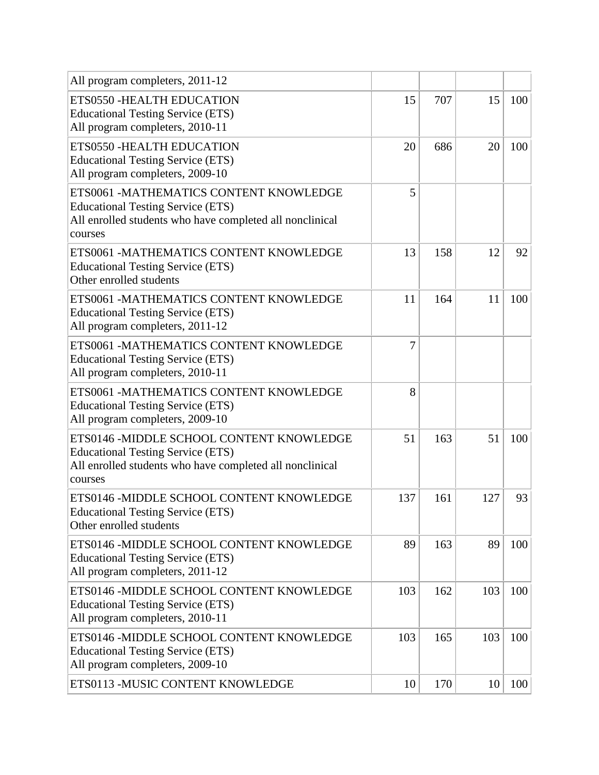| All program completers, 2011-12                                                                                                                             |     |     |     |     |
|-------------------------------------------------------------------------------------------------------------------------------------------------------------|-----|-----|-----|-----|
| ETS0550 - HEALTH EDUCATION<br><b>Educational Testing Service (ETS)</b><br>All program completers, 2010-11                                                   | 15  | 707 | 15  | 100 |
| ETS0550 - HEALTH EDUCATION<br><b>Educational Testing Service (ETS)</b><br>All program completers, 2009-10                                                   | 20  | 686 | 20  | 100 |
| ETS0061 -MATHEMATICS CONTENT KNOWLEDGE<br><b>Educational Testing Service (ETS)</b><br>All enrolled students who have completed all nonclinical<br>courses   | 5   |     |     |     |
| ETS0061 -MATHEMATICS CONTENT KNOWLEDGE<br><b>Educational Testing Service (ETS)</b><br>Other enrolled students                                               | 13  | 158 | 12  | 92  |
| ETS0061 -MATHEMATICS CONTENT KNOWLEDGE<br><b>Educational Testing Service (ETS)</b><br>All program completers, 2011-12                                       | 11  | 164 | 11  | 100 |
| ETS0061 -MATHEMATICS CONTENT KNOWLEDGE<br><b>Educational Testing Service (ETS)</b><br>All program completers, 2010-11                                       | 7   |     |     |     |
| ETS0061 -MATHEMATICS CONTENT KNOWLEDGE<br><b>Educational Testing Service (ETS)</b><br>All program completers, 2009-10                                       | 8   |     |     |     |
| ETS0146 -MIDDLE SCHOOL CONTENT KNOWLEDGE<br><b>Educational Testing Service (ETS)</b><br>All enrolled students who have completed all nonclinical<br>courses | 51  | 163 | 51  | 100 |
| ETS0146 -MIDDLE SCHOOL CONTENT KNOWLEDGE<br><b>Educational Testing Service (ETS)</b><br>Other enrolled students                                             | 137 | 161 | 127 | 93  |
| ETS0146 -MIDDLE SCHOOL CONTENT KNOWLEDGE<br><b>Educational Testing Service (ETS)</b><br>All program completers, 2011-12                                     | 89  | 163 | 89  | 100 |
| ETS0146 -MIDDLE SCHOOL CONTENT KNOWLEDGE<br><b>Educational Testing Service (ETS)</b><br>All program completers, 2010-11                                     | 103 | 162 | 103 | 100 |
| ETS0146 -MIDDLE SCHOOL CONTENT KNOWLEDGE<br><b>Educational Testing Service (ETS)</b><br>All program completers, 2009-10                                     | 103 | 165 | 103 | 100 |
| ETS0113 -MUSIC CONTENT KNOWLEDGE                                                                                                                            | 10  | 170 | 10  | 100 |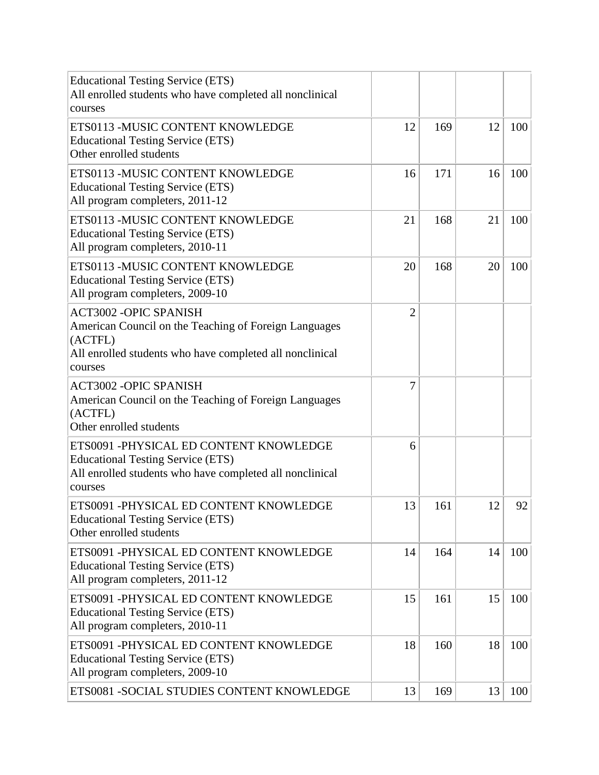| <b>Educational Testing Service (ETS)</b><br>All enrolled students who have completed all nonclinical<br>courses                                                         |    |     |    |     |
|-------------------------------------------------------------------------------------------------------------------------------------------------------------------------|----|-----|----|-----|
| ETS0113 -MUSIC CONTENT KNOWLEDGE<br><b>Educational Testing Service (ETS)</b><br>Other enrolled students                                                                 | 12 | 169 | 12 | 100 |
| ETS0113 -MUSIC CONTENT KNOWLEDGE<br><b>Educational Testing Service (ETS)</b><br>All program completers, 2011-12                                                         | 16 | 171 | 16 | 100 |
| ETS0113 -MUSIC CONTENT KNOWLEDGE<br><b>Educational Testing Service (ETS)</b><br>All program completers, 2010-11                                                         | 21 | 168 | 21 | 100 |
| ETS0113 -MUSIC CONTENT KNOWLEDGE<br><b>Educational Testing Service (ETS)</b><br>All program completers, 2009-10                                                         | 20 | 168 | 20 | 100 |
| <b>ACT3002 -OPIC SPANISH</b><br>American Council on the Teaching of Foreign Languages<br>(ACTFL)<br>All enrolled students who have completed all nonclinical<br>courses | 2  |     |    |     |
| <b>ACT3002 -OPIC SPANISH</b><br>American Council on the Teaching of Foreign Languages<br>(ACTFL)<br>Other enrolled students                                             | 7  |     |    |     |
| ETS0091 -PHYSICAL ED CONTENT KNOWLEDGE<br><b>Educational Testing Service (ETS)</b><br>All enrolled students who have completed all nonclinical<br>courses               | 6  |     |    |     |
| ETS0091 -PHYSICAL ED CONTENT KNOWLEDGE<br><b>Educational Testing Service (ETS)</b><br>Other enrolled students                                                           | 13 | 161 | 12 | 92  |
| ETS0091 -PHYSICAL ED CONTENT KNOWLEDGE<br><b>Educational Testing Service (ETS)</b><br>All program completers, 2011-12                                                   | 14 | 164 | 14 | 100 |
| ETS0091 -PHYSICAL ED CONTENT KNOWLEDGE<br><b>Educational Testing Service (ETS)</b><br>All program completers, 2010-11                                                   | 15 | 161 | 15 | 100 |
| ETS0091 -PHYSICAL ED CONTENT KNOWLEDGE<br><b>Educational Testing Service (ETS)</b><br>All program completers, 2009-10                                                   | 18 | 160 | 18 | 100 |
| ETS0081 - SOCIAL STUDIES CONTENT KNOWLEDGE                                                                                                                              | 13 | 169 | 13 | 100 |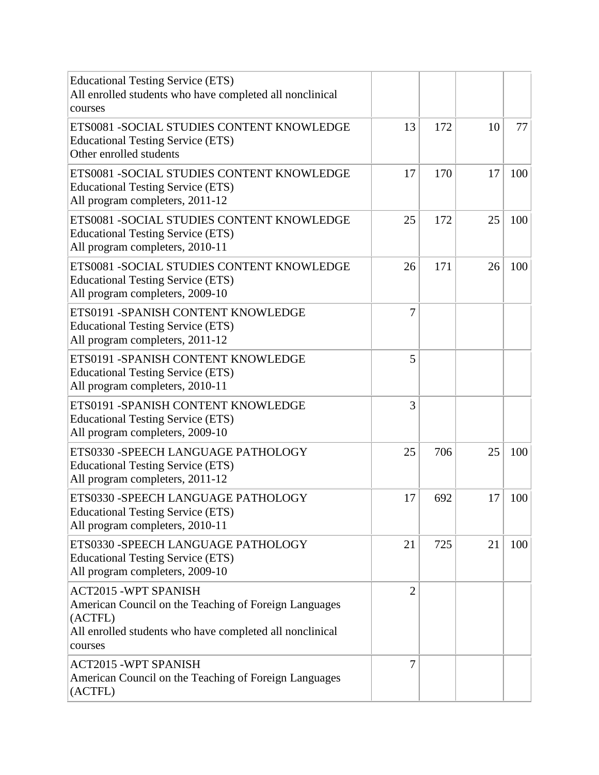| <b>Educational Testing Service (ETS)</b><br>All enrolled students who have completed all nonclinical<br>courses                                                        |                |     |    |     |
|------------------------------------------------------------------------------------------------------------------------------------------------------------------------|----------------|-----|----|-----|
| ETS0081 - SOCIAL STUDIES CONTENT KNOWLEDGE<br><b>Educational Testing Service (ETS)</b><br>Other enrolled students                                                      | 13             | 172 | 10 | 77  |
| ETS0081 - SOCIAL STUDIES CONTENT KNOWLEDGE<br><b>Educational Testing Service (ETS)</b><br>All program completers, 2011-12                                              | 17             | 170 | 17 | 100 |
| ETS0081 - SOCIAL STUDIES CONTENT KNOWLEDGE<br><b>Educational Testing Service (ETS)</b><br>All program completers, 2010-11                                              | 25             | 172 | 25 | 100 |
| ETS0081 - SOCIAL STUDIES CONTENT KNOWLEDGE<br><b>Educational Testing Service (ETS)</b><br>All program completers, 2009-10                                              | 26             | 171 | 26 | 100 |
| ETS0191 - SPANISH CONTENT KNOWLEDGE<br><b>Educational Testing Service (ETS)</b><br>All program completers, 2011-12                                                     | $\overline{7}$ |     |    |     |
| ETS0191 - SPANISH CONTENT KNOWLEDGE<br><b>Educational Testing Service (ETS)</b><br>All program completers, 2010-11                                                     | 5              |     |    |     |
| ETS0191 - SPANISH CONTENT KNOWLEDGE<br><b>Educational Testing Service (ETS)</b><br>All program completers, 2009-10                                                     | 3              |     |    |     |
| ETS0330 - SPEECH LANGUAGE PATHOLOGY<br><b>Educational Testing Service (ETS)</b><br>All program completers, 2011-12                                                     | 25             | 706 | 25 | 100 |
| ETS0330 - SPEECH LANGUAGE PATHOLOGY<br><b>Educational Testing Service (ETS)</b><br>All program completers, 2010-11                                                     | 17             | 692 | 17 | 100 |
| ETS0330 - SPEECH LANGUAGE PATHOLOGY<br><b>Educational Testing Service (ETS)</b><br>All program completers, 2009-10                                                     | 21             | 725 | 21 | 100 |
| <b>ACT2015 -WPT SPANISH</b><br>American Council on the Teaching of Foreign Languages<br>(ACTFL)<br>All enrolled students who have completed all nonclinical<br>courses | $\overline{2}$ |     |    |     |
| <b>ACT2015 -WPT SPANISH</b><br>American Council on the Teaching of Foreign Languages<br>(ACTFL)                                                                        | $\overline{7}$ |     |    |     |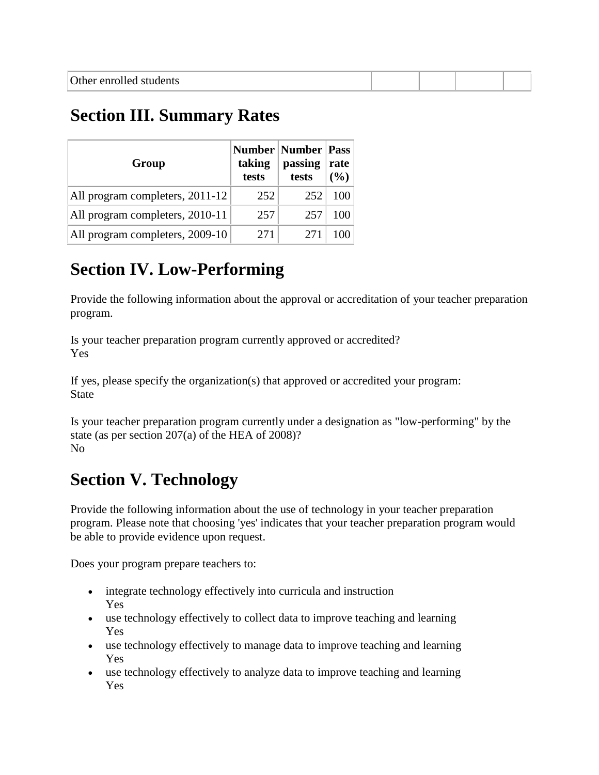# **Section III. Summary Rates**

| Group                           | taking<br>tests | <b>Number   Number   Pass</b><br>passing<br>tests | rate<br>$($ %) |
|---------------------------------|-----------------|---------------------------------------------------|----------------|
| All program completers, 2011-12 | 252             | 252                                               | 100            |
| All program completers, 2010-11 | 257             | 257                                               | 100            |
| All program completers, 2009-10 | 271             | 271                                               |                |

# **Section IV. Low-Performing**

Provide the following information about the approval or accreditation of your teacher preparation program.

Is your teacher preparation program currently approved or accredited? Yes

If yes, please specify the organization(s) that approved or accredited your program: State

Is your teacher preparation program currently under a designation as "low-performing" by the state (as per section 207(a) of the HEA of 2008)? No

# **Section V. Technology**

Provide the following information about the use of technology in your teacher preparation program. Please note that choosing 'yes' indicates that your teacher preparation program would be able to provide evidence upon request.

Does your program prepare teachers to:

- integrate technology effectively into curricula and instruction Yes
- use technology effectively to collect data to improve teaching and learning Yes
- use technology effectively to manage data to improve teaching and learning Yes
- use technology effectively to analyze data to improve teaching and learning Yes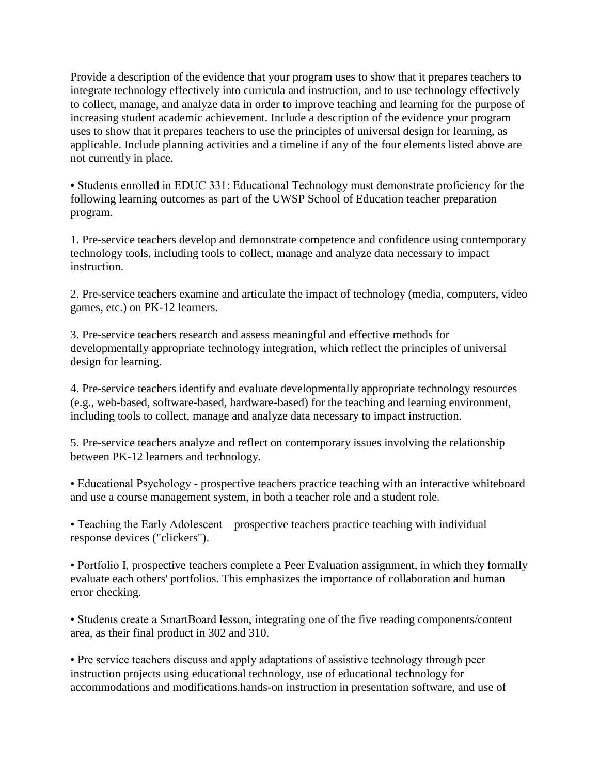Provide a description of the evidence that your program uses to show that it prepares teachers to integrate technology effectively into curricula and instruction, and to use technology effectively to collect, manage, and analyze data in order to improve teaching and learning for the purpose of increasing student academic achievement. Include a description of the evidence your program uses to show that it prepares teachers to use the principles of universal design for learning, as applicable. Include planning activities and a timeline if any of the four elements listed above are not currently in place.

• Students enrolled in EDUC 331: Educational Technology must demonstrate proficiency for the following learning outcomes as part of the UWSP School of Education teacher preparation program.

1. Pre-service teachers develop and demonstrate competence and confidence using contemporary technology tools, including tools to collect, manage and analyze data necessary to impact instruction.

2. Pre-service teachers examine and articulate the impact of technology (media, computers, video games, etc.) on PK-12 learners.

3. Pre-service teachers research and assess meaningful and effective methods for developmentally appropriate technology integration, which reflect the principles of universal design for learning.

4. Pre-service teachers identify and evaluate developmentally appropriate technology resources (e.g., web-based, software-based, hardware-based) for the teaching and learning environment, including tools to collect, manage and analyze data necessary to impact instruction.

5. Pre-service teachers analyze and reflect on contemporary issues involving the relationship between PK-12 learners and technology.

• Educational Psychology - prospective teachers practice teaching with an interactive whiteboard and use a course management system, in both a teacher role and a student role.

• Teaching the Early Adolescent – prospective teachers practice teaching with individual response devices ("clickers").

• Portfolio I, prospective teachers complete a Peer Evaluation assignment, in which they formally evaluate each others' portfolios. This emphasizes the importance of collaboration and human error checking.

• Students create a SmartBoard lesson, integrating one of the five reading components/content area, as their final product in 302 and 310.

• Pre service teachers discuss and apply adaptations of assistive technology through peer instruction projects using educational technology, use of educational technology for accommodations and modifications.hands-on instruction in presentation software, and use of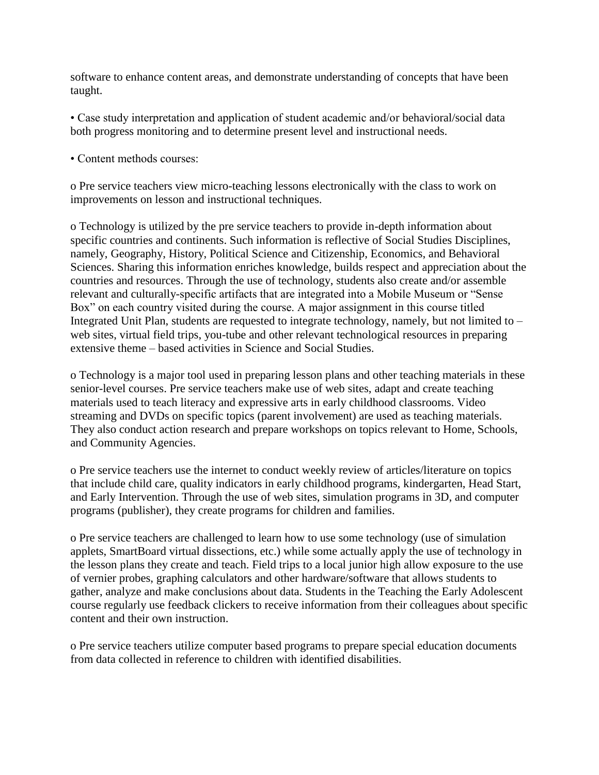software to enhance content areas, and demonstrate understanding of concepts that have been taught.

• Case study interpretation and application of student academic and/or behavioral/social data both progress monitoring and to determine present level and instructional needs.

• Content methods courses:

o Pre service teachers view micro-teaching lessons electronically with the class to work on improvements on lesson and instructional techniques.

o Technology is utilized by the pre service teachers to provide in-depth information about specific countries and continents. Such information is reflective of Social Studies Disciplines, namely, Geography, History, Political Science and Citizenship, Economics, and Behavioral Sciences. Sharing this information enriches knowledge, builds respect and appreciation about the countries and resources. Through the use of technology, students also create and/or assemble relevant and culturally-specific artifacts that are integrated into a Mobile Museum or "Sense Box" on each country visited during the course. A major assignment in this course titled Integrated Unit Plan, students are requested to integrate technology, namely, but not limited to – web sites, virtual field trips, you-tube and other relevant technological resources in preparing extensive theme – based activities in Science and Social Studies.

o Technology is a major tool used in preparing lesson plans and other teaching materials in these senior-level courses. Pre service teachers make use of web sites, adapt and create teaching materials used to teach literacy and expressive arts in early childhood classrooms. Video streaming and DVDs on specific topics (parent involvement) are used as teaching materials. They also conduct action research and prepare workshops on topics relevant to Home, Schools, and Community Agencies.

o Pre service teachers use the internet to conduct weekly review of articles/literature on topics that include child care, quality indicators in early childhood programs, kindergarten, Head Start, and Early Intervention. Through the use of web sites, simulation programs in 3D, and computer programs (publisher), they create programs for children and families.

o Pre service teachers are challenged to learn how to use some technology (use of simulation applets, SmartBoard virtual dissections, etc.) while some actually apply the use of technology in the lesson plans they create and teach. Field trips to a local junior high allow exposure to the use of vernier probes, graphing calculators and other hardware/software that allows students to gather, analyze and make conclusions about data. Students in the Teaching the Early Adolescent course regularly use feedback clickers to receive information from their colleagues about specific content and their own instruction.

o Pre service teachers utilize computer based programs to prepare special education documents from data collected in reference to children with identified disabilities.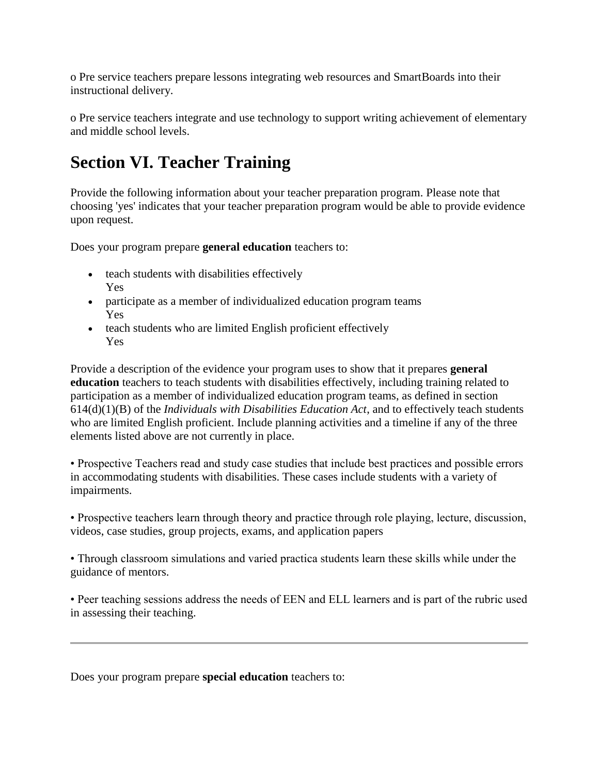o Pre service teachers prepare lessons integrating web resources and SmartBoards into their instructional delivery.

o Pre service teachers integrate and use technology to support writing achievement of elementary and middle school levels.

# **Section VI. Teacher Training**

Provide the following information about your teacher preparation program. Please note that choosing 'yes' indicates that your teacher preparation program would be able to provide evidence upon request.

Does your program prepare **general education** teachers to:

- teach students with disabilities effectively Yes
- participate as a member of individualized education program teams Yes
- teach students who are limited English proficient effectively Yes

Provide a description of the evidence your program uses to show that it prepares **general education** teachers to teach students with disabilities effectively, including training related to participation as a member of individualized education program teams, as defined in section 614(d)(1)(B) of the *Individuals with Disabilities Education Act*, and to effectively teach students who are limited English proficient. Include planning activities and a timeline if any of the three elements listed above are not currently in place.

• Prospective Teachers read and study case studies that include best practices and possible errors in accommodating students with disabilities. These cases include students with a variety of impairments.

• Prospective teachers learn through theory and practice through role playing, lecture, discussion, videos, case studies, group projects, exams, and application papers

• Through classroom simulations and varied practica students learn these skills while under the guidance of mentors.

• Peer teaching sessions address the needs of EEN and ELL learners and is part of the rubric used in assessing their teaching.

Does your program prepare **special education** teachers to: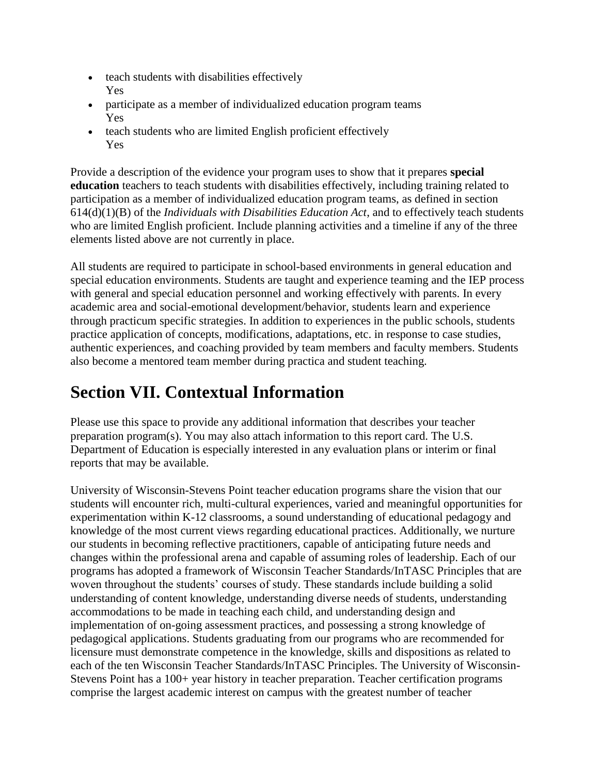- teach students with disabilities effectively Yes
- participate as a member of individualized education program teams Yes
- teach students who are limited English proficient effectively Yes

Provide a description of the evidence your program uses to show that it prepares **special education** teachers to teach students with disabilities effectively, including training related to participation as a member of individualized education program teams, as defined in section 614(d)(1)(B) of the *Individuals with Disabilities Education Act*, and to effectively teach students who are limited English proficient. Include planning activities and a timeline if any of the three elements listed above are not currently in place.

All students are required to participate in school-based environments in general education and special education environments. Students are taught and experience teaming and the IEP process with general and special education personnel and working effectively with parents. In every academic area and social-emotional development/behavior, students learn and experience through practicum specific strategies. In addition to experiences in the public schools, students practice application of concepts, modifications, adaptations, etc. in response to case studies, authentic experiences, and coaching provided by team members and faculty members. Students also become a mentored team member during practica and student teaching.

# **Section VII. Contextual Information**

Please use this space to provide any additional information that describes your teacher preparation program(s). You may also attach information to this report card. The U.S. Department of Education is especially interested in any evaluation plans or interim or final reports that may be available.

University of Wisconsin-Stevens Point teacher education programs share the vision that our students will encounter rich, multi-cultural experiences, varied and meaningful opportunities for experimentation within K-12 classrooms, a sound understanding of educational pedagogy and knowledge of the most current views regarding educational practices. Additionally, we nurture our students in becoming reflective practitioners, capable of anticipating future needs and changes within the professional arena and capable of assuming roles of leadership. Each of our programs has adopted a framework of Wisconsin Teacher Standards/InTASC Principles that are woven throughout the students' courses of study. These standards include building a solid understanding of content knowledge, understanding diverse needs of students, understanding accommodations to be made in teaching each child, and understanding design and implementation of on-going assessment practices, and possessing a strong knowledge of pedagogical applications. Students graduating from our programs who are recommended for licensure must demonstrate competence in the knowledge, skills and dispositions as related to each of the ten Wisconsin Teacher Standards/InTASC Principles. The University of Wisconsin-Stevens Point has a 100+ year history in teacher preparation. Teacher certification programs comprise the largest academic interest on campus with the greatest number of teacher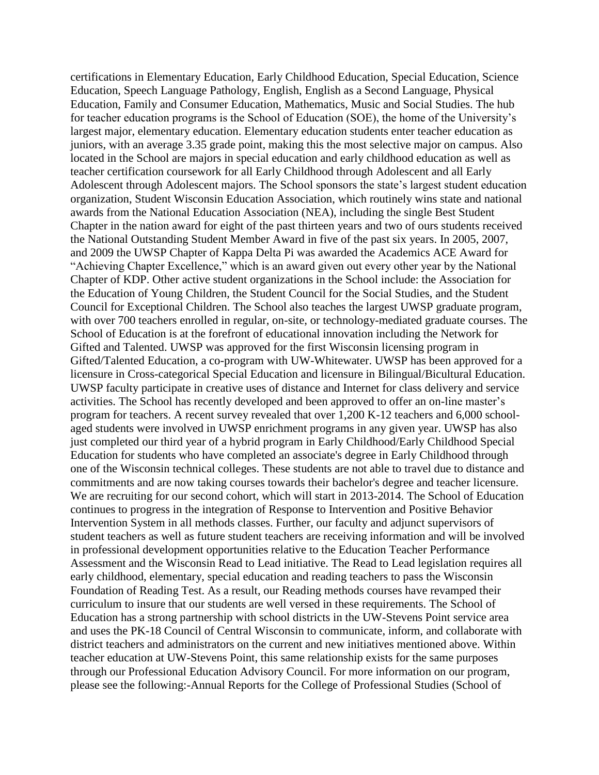certifications in Elementary Education, Early Childhood Education, Special Education, Science Education, Speech Language Pathology, English, English as a Second Language, Physical Education, Family and Consumer Education, Mathematics, Music and Social Studies. The hub for teacher education programs is the School of Education (SOE), the home of the University's largest major, elementary education. Elementary education students enter teacher education as juniors, with an average 3.35 grade point, making this the most selective major on campus. Also located in the School are majors in special education and early childhood education as well as teacher certification coursework for all Early Childhood through Adolescent and all Early Adolescent through Adolescent majors. The School sponsors the state's largest student education organization, Student Wisconsin Education Association, which routinely wins state and national awards from the National Education Association (NEA), including the single Best Student Chapter in the nation award for eight of the past thirteen years and two of ours students received the National Outstanding Student Member Award in five of the past six years. In 2005, 2007, and 2009 the UWSP Chapter of Kappa Delta Pi was awarded the Academics ACE Award for "Achieving Chapter Excellence," which is an award given out every other year by the National Chapter of KDP. Other active student organizations in the School include: the Association for the Education of Young Children, the Student Council for the Social Studies, and the Student Council for Exceptional Children. The School also teaches the largest UWSP graduate program, with over 700 teachers enrolled in regular, on-site, or technology-mediated graduate courses. The School of Education is at the forefront of educational innovation including the Network for Gifted and Talented. UWSP was approved for the first Wisconsin licensing program in Gifted/Talented Education, a co-program with UW-Whitewater. UWSP has been approved for a licensure in Cross-categorical Special Education and licensure in Bilingual/Bicultural Education. UWSP faculty participate in creative uses of distance and Internet for class delivery and service activities. The School has recently developed and been approved to offer an on-line master's program for teachers. A recent survey revealed that over 1,200 K-12 teachers and 6,000 schoolaged students were involved in UWSP enrichment programs in any given year. UWSP has also just completed our third year of a hybrid program in Early Childhood/Early Childhood Special Education for students who have completed an associate's degree in Early Childhood through one of the Wisconsin technical colleges. These students are not able to travel due to distance and commitments and are now taking courses towards their bachelor's degree and teacher licensure. We are recruiting for our second cohort, which will start in 2013-2014. The School of Education continues to progress in the integration of Response to Intervention and Positive Behavior Intervention System in all methods classes. Further, our faculty and adjunct supervisors of student teachers as well as future student teachers are receiving information and will be involved in professional development opportunities relative to the Education Teacher Performance Assessment and the Wisconsin Read to Lead initiative. The Read to Lead legislation requires all early childhood, elementary, special education and reading teachers to pass the Wisconsin Foundation of Reading Test. As a result, our Reading methods courses have revamped their curriculum to insure that our students are well versed in these requirements. The School of Education has a strong partnership with school districts in the UW-Stevens Point service area and uses the PK-18 Council of Central Wisconsin to communicate, inform, and collaborate with district teachers and administrators on the current and new initiatives mentioned above. Within teacher education at UW-Stevens Point, this same relationship exists for the same purposes through our Professional Education Advisory Council. For more information on our program, please see the following:-Annual Reports for the College of Professional Studies (School of